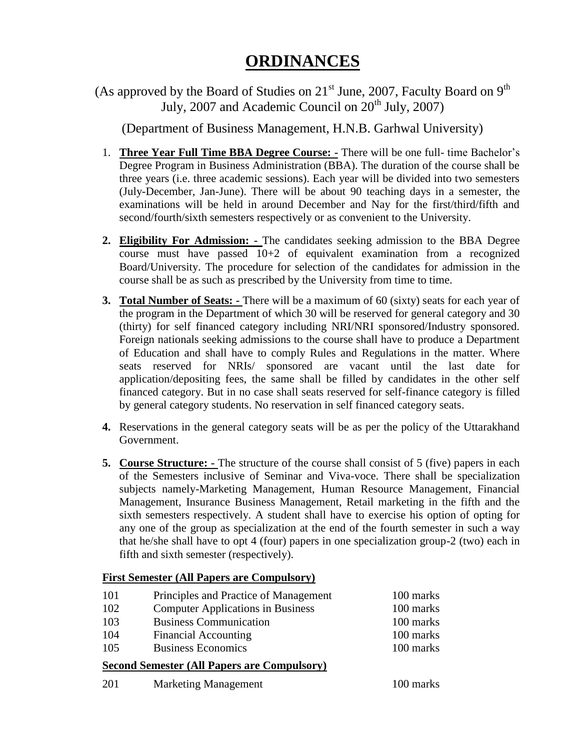# **ORDINANCES**

(As approved by the Board of Studies on  $21<sup>st</sup>$  June, 2007, Faculty Board on  $9<sup>th</sup>$ July, 2007 and Academic Council on  $20<sup>th</sup>$  July, 2007)

(Department of Business Management, H.N.B. Garhwal University)

- 1. **Three Year Full Time BBA Degree Course: -** There will be one full- time Bachelor's Degree Program in Business Administration (BBA). The duration of the course shall be three years (i.e. three academic sessions). Each year will be divided into two semesters (July-December, Jan-June). There will be about 90 teaching days in a semester, the examinations will be held in around December and Nay for the first/third/fifth and second/fourth/sixth semesters respectively or as convenient to the University.
- **2. Eligibility For Admission: -** The candidates seeking admission to the BBA Degree course must have passed 10+2 of equivalent examination from a recognized Board/University. The procedure for selection of the candidates for admission in the course shall be as such as prescribed by the University from time to time.
- **3. Total Number of Seats: -** There will be a maximum of 60 (sixty) seats for each year of the program in the Department of which 30 will be reserved for general category and 30 (thirty) for self financed category including NRI/NRI sponsored/Industry sponsored. Foreign nationals seeking admissions to the course shall have to produce a Department of Education and shall have to comply Rules and Regulations in the matter. Where seats reserved for NRIs/ sponsored are vacant until the last date for application/depositing fees, the same shall be filled by candidates in the other self financed category. But in no case shall seats reserved for self-finance category is filled by general category students. No reservation in self financed category seats.
- **4.** Reservations in the general category seats will be as per the policy of the Uttarakhand Government.
- **5. Course Structure:** The structure of the course shall consist of 5 (five) papers in each of the Semesters inclusive of Seminar and Viva-voce. There shall be specialization subjects namely-Marketing Management, Human Resource Management, Financial Management, Insurance Business Management, Retail marketing in the fifth and the sixth semesters respectively. A student shall have to exercise his option of opting for any one of the group as specialization at the end of the fourth semester in such a way that he/she shall have to opt 4 (four) papers in one specialization group-2 (two) each in fifth and sixth semester (respectively).

# **First Semester (All Papers are Compulsory)**

| 101 | Principles and Practice of Management                          | 100 marks |
|-----|----------------------------------------------------------------|-----------|
| 102 | <b>Computer Applications in Business</b>                       | 100 marks |
| 103 | <b>Business Communication</b>                                  | 100 marks |
| 104 | Financial Accounting                                           | 100 marks |
| 105 | <b>Business Economics</b>                                      | 100 marks |
|     | $C_1, \ldots, C_n, \ldots, C_n$ (All Den in $C_2, \ldots, C_n$ |           |

# **Second Semester (All Papers are Compulsory)**

201 Marketing Management 100 marks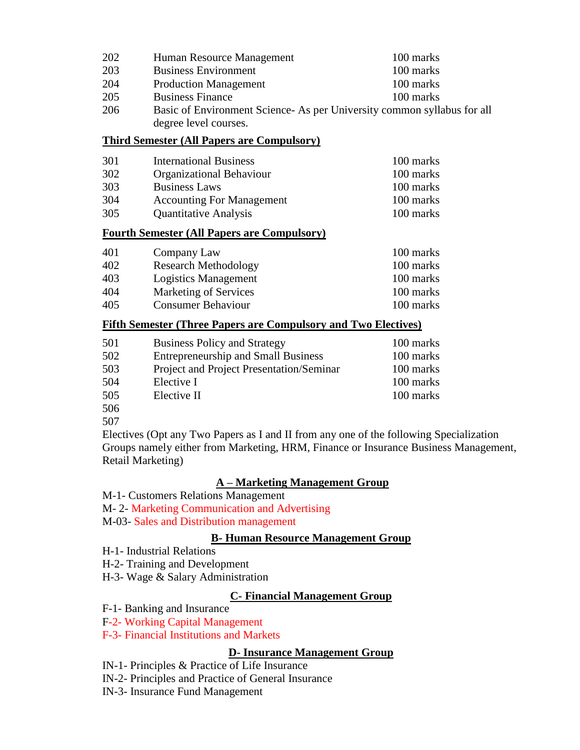| 202                                                                            | 100 marks<br>Human Resource Management |           |
|--------------------------------------------------------------------------------|----------------------------------------|-----------|
| 203                                                                            | <b>Business Environment</b>            | 100 marks |
| 204                                                                            | <b>Production Management</b>           | 100 marks |
| 205                                                                            | <b>Business Finance</b>                | 100 marks |
| 206<br>Basic of Environment Science- As per University common syllabus for all |                                        |           |
|                                                                                | degree level courses.                  |           |

#### **Third Semester (All Papers are Compulsory)**

| 301 | <b>International Business</b>    | 100 marks |
|-----|----------------------------------|-----------|
| 302 | <b>Organizational Behaviour</b>  | 100 marks |
| 303 | <b>Business Laws</b>             | 100 marks |
| 304 | <b>Accounting For Management</b> | 100 marks |
| 305 | <b>Quantitative Analysis</b>     | 100 marks |

#### **Fourth Semester (All Papers are Compulsory)**

| 401 | Company Law                  | 100 marks |
|-----|------------------------------|-----------|
| 402 | <b>Research Methodology</b>  | 100 marks |
| 403 | <b>Logistics Management</b>  | 100 marks |
| 404 | <b>Marketing of Services</b> | 100 marks |
| 405 | <b>Consumer Behaviour</b>    | 100 marks |

#### **Fifth Semester (Three Papers are Compulsory and Two Electives)**

| 501 | <b>Business Policy and Strategy</b>        | 100 marks |
|-----|--------------------------------------------|-----------|
| 502 | <b>Entrepreneurship and Small Business</b> | 100 marks |
| 503 | Project and Project Presentation/Seminar   | 100 marks |
| 504 | Elective I                                 | 100 marks |
| 505 | Elective II                                | 100 marks |
| 506 |                                            |           |

507

Electives (Opt any Two Papers as I and II from any one of the following Specialization Groups namely either from Marketing, HRM, Finance or Insurance Business Management, Retail Marketing)

# **A – Marketing Management Group**

- M-1- Customers Relations Management
- M- 2- Marketing Communication and Advertising
- M-03- Sales and Distribution management

#### **B- Human Resource Management Group**

- H-1- Industrial Relations
- H-2- Training and Development
- H-3- Wage & Salary Administration

# **C- Financial Management Group**

F-1- Banking and Insurance

- F-2- Working Capital Management
- F-3- Financial Institutions and Markets

# **D- Insurance Management Group**

- IN-1- Principles & Practice of Life Insurance
- IN-2- Principles and Practice of General Insurance
- IN-3- Insurance Fund Management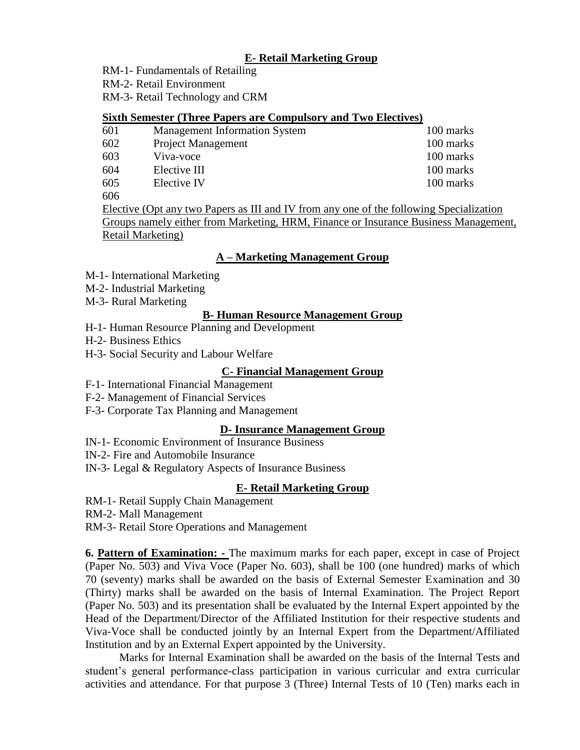# **E- Retail Marketing Group**

RM-1- Fundamentals of Retailing

RM-2- Retail Environment

RM-3- Retail Technology and CRM

# **Sixth Semester (Three Papers are Compulsory and Two Electives)**

| 601                        | <b>Management Information System</b> | 100 marks |
|----------------------------|--------------------------------------|-----------|
| 602                        | <b>Project Management</b>            | 100 marks |
| 603                        | Viva-voce                            | 100 marks |
| 604                        | Elective III                         | 100 marks |
| 605                        | Elective IV                          | 100 marks |
| $\epsilon \wedge \epsilon$ |                                      |           |

606

Elective (Opt any two Papers as III and IV from any one of the following Specialization Groups namely either from Marketing, HRM, Finance or Insurance Business Management, Retail Marketing)

# **A – Marketing Management Group**

- M-1- International Marketing
- M-2- Industrial Marketing
- M-3- Rural Marketing

# **B- Human Resource Management Group**

- H-1- Human Resource Planning and Development
- H-2- Business Ethics
- H-3- Social Security and Labour Welfare

# **C- Financial Management Group**

- F-1- International Financial Management
- F-2- Management of Financial Services
- F-3- Corporate Tax Planning and Management

# **D- Insurance Management Group**

- IN-1- Economic Environment of Insurance Business
- IN-2- Fire and Automobile Insurance
- IN-3- Legal & Regulatory Aspects of Insurance Business

# **E- Retail Marketing Group**

- RM-1- Retail Supply Chain Management
- RM-2- Mall Management
- RM-3- Retail Store Operations and Management

**6. Pattern of Examination: -** The maximum marks for each paper, except in case of Project (Paper No. 503) and Viva Voce (Paper No. 603), shall be 100 (one hundred) marks of which 70 (seventy) marks shall be awarded on the basis of External Semester Examination and 30 (Thirty) marks shall be awarded on the basis of Internal Examination. The Project Report (Paper No. 503) and its presentation shall be evaluated by the Internal Expert appointed by the Head of the Department/Director of the Affiliated Institution for their respective students and Viva-Voce shall be conducted jointly by an Internal Expert from the Department/Affiliated Institution and by an External Expert appointed by the University.

Marks for Internal Examination shall be awarded on the basis of the Internal Tests and student's general performance-class participation in various curricular and extra curricular activities and attendance. For that purpose 3 (Three) Internal Tests of 10 (Ten) marks each in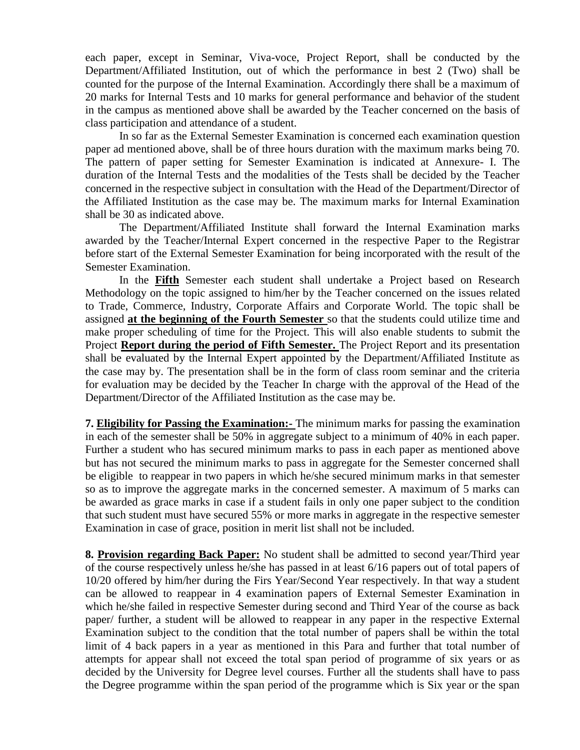each paper, except in Seminar, Viva-voce, Project Report, shall be conducted by the Department/Affiliated Institution, out of which the performance in best 2 (Two) shall be counted for the purpose of the Internal Examination. Accordingly there shall be a maximum of 20 marks for Internal Tests and 10 marks for general performance and behavior of the student in the campus as mentioned above shall be awarded by the Teacher concerned on the basis of class participation and attendance of a student.

In so far as the External Semester Examination is concerned each examination question paper ad mentioned above, shall be of three hours duration with the maximum marks being 70. The pattern of paper setting for Semester Examination is indicated at Annexure- I. The duration of the Internal Tests and the modalities of the Tests shall be decided by the Teacher concerned in the respective subject in consultation with the Head of the Department/Director of the Affiliated Institution as the case may be. The maximum marks for Internal Examination shall be 30 as indicated above.

The Department/Affiliated Institute shall forward the Internal Examination marks awarded by the Teacher/Internal Expert concerned in the respective Paper to the Registrar before start of the External Semester Examination for being incorporated with the result of the Semester Examination.

In the **Fifth** Semester each student shall undertake a Project based on Research Methodology on the topic assigned to him/her by the Teacher concerned on the issues related to Trade, Commerce, Industry, Corporate Affairs and Corporate World. The topic shall be assigned **at the beginning of the Fourth Semester** so that the students could utilize time and make proper scheduling of time for the Project. This will also enable students to submit the Project **Report during the period of Fifth Semester.** The Project Report and its presentation shall be evaluated by the Internal Expert appointed by the Department/Affiliated Institute as the case may by. The presentation shall be in the form of class room seminar and the criteria for evaluation may be decided by the Teacher In charge with the approval of the Head of the Department/Director of the Affiliated Institution as the case may be.

**7. Eligibility for Passing the Examination:-** The minimum marks for passing the examination in each of the semester shall be 50% in aggregate subject to a minimum of 40% in each paper. Further a student who has secured minimum marks to pass in each paper as mentioned above but has not secured the minimum marks to pass in aggregate for the Semester concerned shall be eligible to reappear in two papers in which he/she secured minimum marks in that semester so as to improve the aggregate marks in the concerned semester. A maximum of 5 marks can be awarded as grace marks in case if a student fails in only one paper subject to the condition that such student must have secured 55% or more marks in aggregate in the respective semester Examination in case of grace, position in merit list shall not be included.

**8. Provision regarding Back Paper:** No student shall be admitted to second year/Third year of the course respectively unless he/she has passed in at least 6/16 papers out of total papers of 10/20 offered by him/her during the Firs Year/Second Year respectively. In that way a student can be allowed to reappear in 4 examination papers of External Semester Examination in which he/she failed in respective Semester during second and Third Year of the course as back paper/ further, a student will be allowed to reappear in any paper in the respective External Examination subject to the condition that the total number of papers shall be within the total limit of 4 back papers in a year as mentioned in this Para and further that total number of attempts for appear shall not exceed the total span period of programme of six years or as decided by the University for Degree level courses. Further all the students shall have to pass the Degree programme within the span period of the programme which is Six year or the span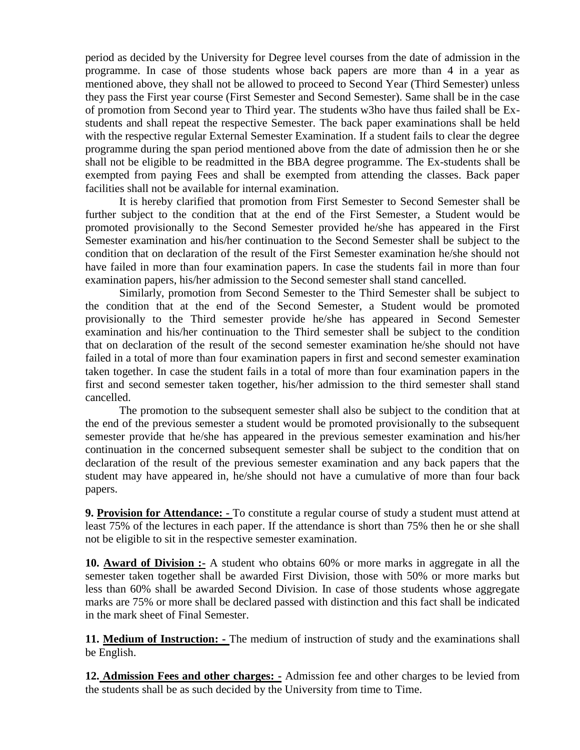period as decided by the University for Degree level courses from the date of admission in the programme. In case of those students whose back papers are more than 4 in a year as mentioned above, they shall not be allowed to proceed to Second Year (Third Semester) unless they pass the First year course (First Semester and Second Semester). Same shall be in the case of promotion from Second year to Third year. The students w3ho have thus failed shall be Exstudents and shall repeat the respective Semester. The back paper examinations shall be held with the respective regular External Semester Examination. If a student fails to clear the degree programme during the span period mentioned above from the date of admission then he or she shall not be eligible to be readmitted in the BBA degree programme. The Ex-students shall be exempted from paying Fees and shall be exempted from attending the classes. Back paper facilities shall not be available for internal examination.

It is hereby clarified that promotion from First Semester to Second Semester shall be further subject to the condition that at the end of the First Semester, a Student would be promoted provisionally to the Second Semester provided he/she has appeared in the First Semester examination and his/her continuation to the Second Semester shall be subject to the condition that on declaration of the result of the First Semester examination he/she should not have failed in more than four examination papers. In case the students fail in more than four examination papers, his/her admission to the Second semester shall stand cancelled.

Similarly, promotion from Second Semester to the Third Semester shall be subject to the condition that at the end of the Second Semester, a Student would be promoted provisionally to the Third semester provide he/she has appeared in Second Semester examination and his/her continuation to the Third semester shall be subject to the condition that on declaration of the result of the second semester examination he/she should not have failed in a total of more than four examination papers in first and second semester examination taken together. In case the student fails in a total of more than four examination papers in the first and second semester taken together, his/her admission to the third semester shall stand cancelled.

The promotion to the subsequent semester shall also be subject to the condition that at the end of the previous semester a student would be promoted provisionally to the subsequent semester provide that he/she has appeared in the previous semester examination and his/her continuation in the concerned subsequent semester shall be subject to the condition that on declaration of the result of the previous semester examination and any back papers that the student may have appeared in, he/she should not have a cumulative of more than four back papers.

**9. Provision for Attendance: -** To constitute a regular course of study a student must attend at least 75% of the lectures in each paper. If the attendance is short than 75% then he or she shall not be eligible to sit in the respective semester examination.

**10. Award of Division :-** A student who obtains 60% or more marks in aggregate in all the semester taken together shall be awarded First Division, those with 50% or more marks but less than 60% shall be awarded Second Division. In case of those students whose aggregate marks are 75% or more shall be declared passed with distinction and this fact shall be indicated in the mark sheet of Final Semester.

**11. Medium of Instruction: -** The medium of instruction of study and the examinations shall be English.

**12. Admission Fees and other charges: -** Admission fee and other charges to be levied from the students shall be as such decided by the University from time to Time.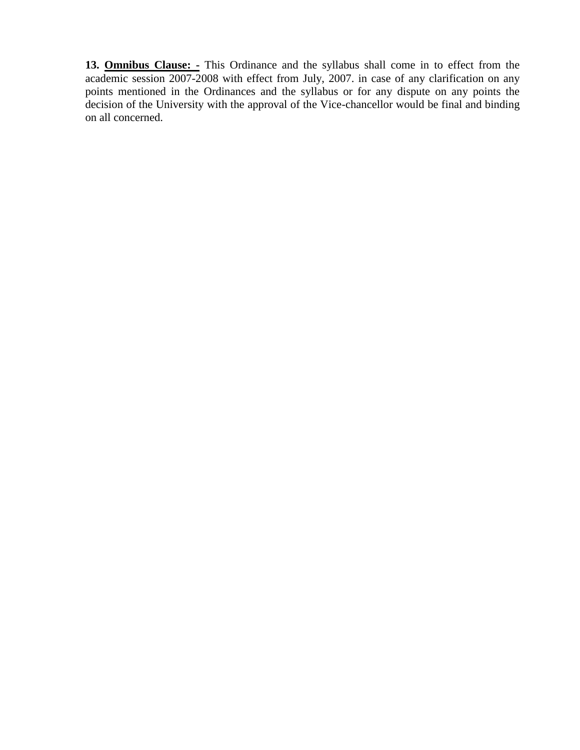**13. Omnibus Clause: -** This Ordinance and the syllabus shall come in to effect from the academic session 2007-2008 with effect from July, 2007. in case of any clarification on any points mentioned in the Ordinances and the syllabus or for any dispute on any points the decision of the University with the approval of the Vice-chancellor would be final and binding on all concerned.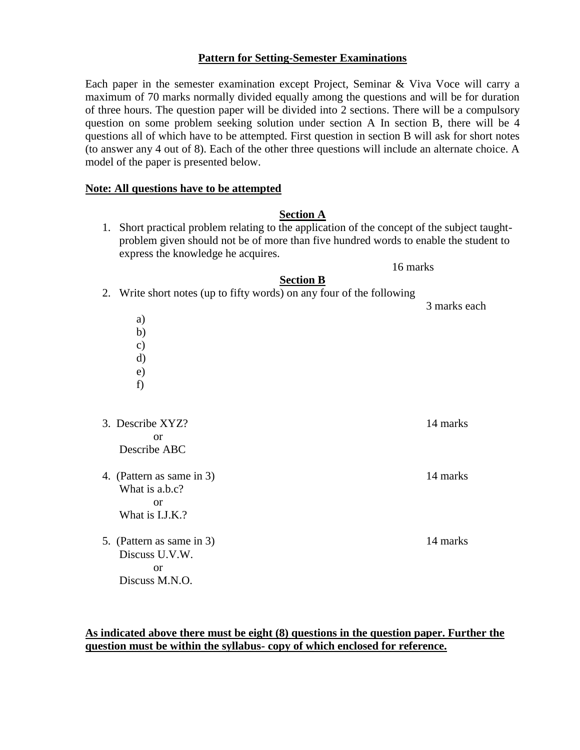## **Pattern for Setting-Semester Examinations**

Each paper in the semester examination except Project, Seminar & Viva Voce will carry a maximum of 70 marks normally divided equally among the questions and will be for duration of three hours. The question paper will be divided into 2 sections. There will be a compulsory question on some problem seeking solution under section A In section B, there will be 4 questions all of which have to be attempted. First question in section B will ask for short notes (to answer any 4 out of 8). Each of the other three questions will include an alternate choice. A model of the paper is presented below.

#### **Note: All questions have to be attempted**

#### **Section A**

1. Short practical problem relating to the application of the concept of the subject taughtproblem given should not be of more than five hundred words to enable the student to express the knowledge he acquires.

16 marks

#### **Section B**

| 2. Write short notes (up to fifty words) on any four of the following | 3 marks each |
|-----------------------------------------------------------------------|--------------|
| a)                                                                    |              |
| b)                                                                    |              |
| $\mathbf{c})$                                                         |              |
| d)                                                                    |              |
| $\epsilon$ )                                                          |              |
| f)                                                                    |              |
|                                                                       |              |
|                                                                       |              |
| 3. Describe XYZ?                                                      | 14 marks     |
| <sub>or</sub>                                                         |              |
| Describe ABC                                                          |              |
|                                                                       |              |
| 4. (Pattern as same in 3)                                             | 14 marks     |
| What is a.b.c?                                                        |              |
| <b>or</b>                                                             |              |
| What is I.J.K.?                                                       |              |
|                                                                       |              |
| 5. (Pattern as same in 3)                                             | 14 marks     |
| Discuss U.V.W.                                                        |              |
| <sub>or</sub>                                                         |              |
| Discuss M.N.O.                                                        |              |

**As indicated above there must be eight (8) questions in the question paper. Further the question must be within the syllabus- copy of which enclosed for reference.**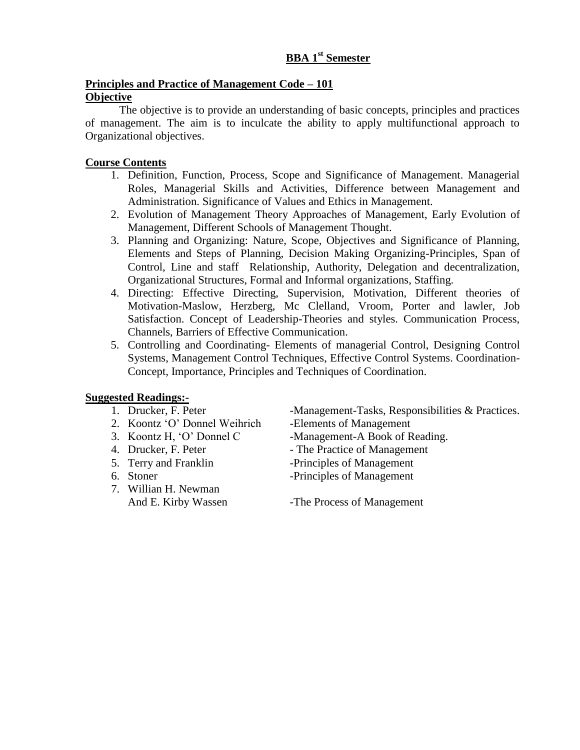# **BBA 1st Semester**

# **Principles and Practice of Management Code – 101 Objective**

The objective is to provide an understanding of basic concepts, principles and practices of management. The aim is to inculcate the ability to apply multifunctional approach to Organizational objectives.

# **Course Contents**

- 1. Definition, Function, Process, Scope and Significance of Management. Managerial Roles, Managerial Skills and Activities, Difference between Management and Administration. Significance of Values and Ethics in Management.
- 2. Evolution of Management Theory Approaches of Management, Early Evolution of Management, Different Schools of Management Thought.
- 3. Planning and Organizing: Nature, Scope, Objectives and Significance of Planning, Elements and Steps of Planning, Decision Making Organizing-Principles, Span of Control, Line and staff Relationship, Authority, Delegation and decentralization, Organizational Structures, Formal and Informal organizations, Staffing.
- 4. Directing: Effective Directing, Supervision, Motivation, Different theories of Motivation-Maslow, Herzberg, Mc Clelland, Vroom, Porter and lawler, Job Satisfaction. Concept of Leadership-Theories and styles. Communication Process, Channels, Barriers of Effective Communication.
- 5. Controlling and Coordinating- Elements of managerial Control, Designing Control Systems, Management Control Techniques, Effective Control Systems. Coordination-Concept, Importance, Principles and Techniques of Coordination.

# **Suggested Readings:-**<br>1. Drucker, F. Peter

- 
- 2. Koontz 'O' Donnel Weihrich -Elements of Management
- 
- 
- 
- 
- 7. Willian H. Newman

-Management-Tasks, Responsibilities & Practices.

3. Koontz H, 'O' Donnel C -Management-A Book of Reading.

- 4. Drucker, F. Peter The Practice of Management
- 5. Terry and Franklin -Principles of Management
- 6. Stoner -Principles of Management

And E. Kirby Wassen -The Process of Management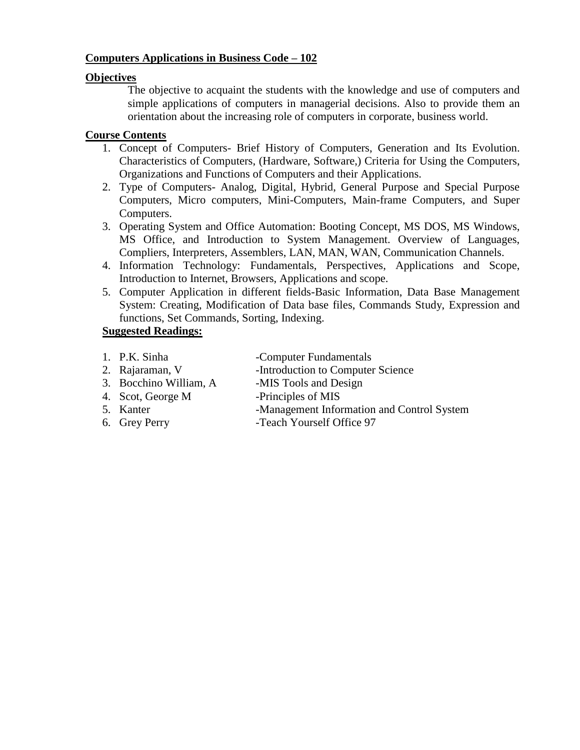# **Computers Applications in Business Code – 102**

# **Objectives**

The objective to acquaint the students with the knowledge and use of computers and simple applications of computers in managerial decisions. Also to provide them an orientation about the increasing role of computers in corporate, business world.

# **Course Contents**

- 1. Concept of Computers- Brief History of Computers, Generation and Its Evolution. Characteristics of Computers, (Hardware, Software,) Criteria for Using the Computers, Organizations and Functions of Computers and their Applications.
- 2. Type of Computers- Analog, Digital, Hybrid, General Purpose and Special Purpose Computers, Micro computers, Mini-Computers, Main-frame Computers, and Super Computers.
- 3. Operating System and Office Automation: Booting Concept, MS DOS, MS Windows, MS Office, and Introduction to System Management. Overview of Languages, Compliers, Interpreters, Assemblers, LAN, MAN, WAN, Communication Channels.
- 4. Information Technology: Fundamentals, Perspectives, Applications and Scope, Introduction to Internet, Browsers, Applications and scope.
- 5. Computer Application in different fields-Basic Information, Data Base Management System: Creating, Modification of Data base files, Commands Study, Expression and functions, Set Commands, Sorting, Indexing.

# **Suggested Readings:**

- 1. P.K. Sinha -Computer Fundamentals
- 2. Rajaraman, V -Introduction to Computer Science
- 3. Bocchino William, A -MIS Tools and Design
- 4. Scot, George M -Principles of MIS
- 
- 
- 5. Kanter -Management Information and Control System
- 6. Grey Perry Feach Yourself Office 97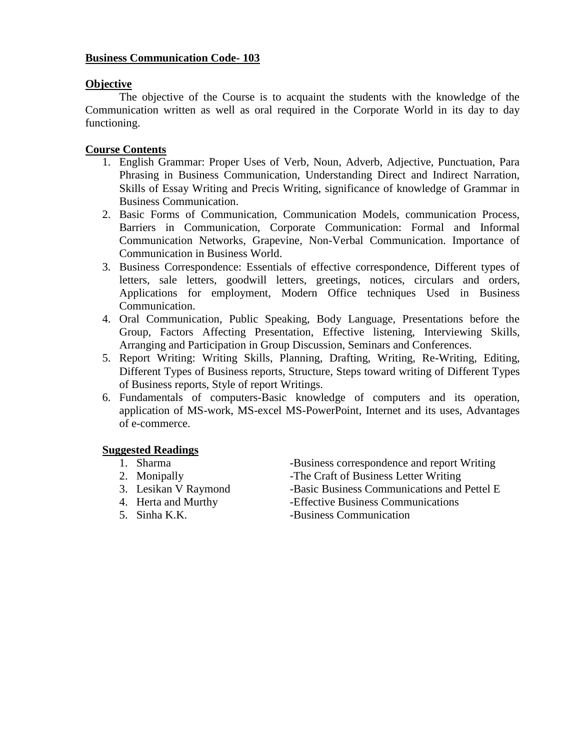# **Business Communication Code- 103**

#### **Objective**

The objective of the Course is to acquaint the students with the knowledge of the Communication written as well as oral required in the Corporate World in its day to day functioning.

# **Course Contents**

- 1. English Grammar: Proper Uses of Verb, Noun, Adverb, Adjective, Punctuation, Para Phrasing in Business Communication, Understanding Direct and Indirect Narration, Skills of Essay Writing and Precis Writing, significance of knowledge of Grammar in Business Communication.
- 2. Basic Forms of Communication, Communication Models, communication Process, Barriers in Communication, Corporate Communication: Formal and Informal Communication Networks, Grapevine, Non-Verbal Communication. Importance of Communication in Business World.
- 3. Business Correspondence: Essentials of effective correspondence, Different types of letters, sale letters, goodwill letters, greetings, notices, circulars and orders, Applications for employment, Modern Office techniques Used in Business Communication.
- 4. Oral Communication, Public Speaking, Body Language, Presentations before the Group, Factors Affecting Presentation, Effective listening, Interviewing Skills, Arranging and Participation in Group Discussion, Seminars and Conferences.
- 5. Report Writing: Writing Skills, Planning, Drafting, Writing, Re-Writing, Editing, Different Types of Business reports, Structure, Steps toward writing of Different Types of Business reports, Style of report Writings.
- 6. Fundamentals of computers-Basic knowledge of computers and its operation, application of MS-work, MS-excel MS-PowerPoint, Internet and its uses, Advantages of e-commerce.

# **Suggested Readings**

- 
- 
- 3. Lesikan V Raymond -Basic Business Communications and Pettel E
- 
- 
- 1. Sharma -Business correspondence and report Writing 2. Monipally -The Craft of Business Letter Writing
	-
- 4. Herta and Murthy -Effective Business Communications
- 5. Sinha K.K. Business Communication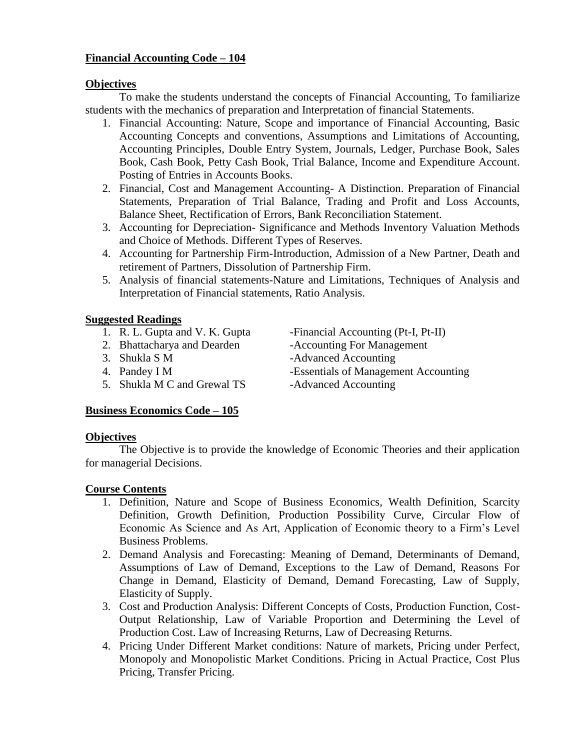# **Financial Accounting Code – 104**

## **Objectives**

To make the students understand the concepts of Financial Accounting, To familiarize students with the mechanics of preparation and Interpretation of financial Statements.

- 1. Financial Accounting: Nature, Scope and importance of Financial Accounting, Basic Accounting Concepts and conventions, Assumptions and Limitations of Accounting, Accounting Principles, Double Entry System, Journals, Ledger, Purchase Book, Sales Book, Cash Book, Petty Cash Book, Trial Balance, Income and Expenditure Account. Posting of Entries in Accounts Books.
- 2. Financial, Cost and Management Accounting- A Distinction. Preparation of Financial Statements, Preparation of Trial Balance, Trading and Profit and Loss Accounts, Balance Sheet, Rectification of Errors, Bank Reconciliation Statement.
- 3. Accounting for Depreciation- Significance and Methods Inventory Valuation Methods and Choice of Methods. Different Types of Reserves.
- 4. Accounting for Partnership Firm-Introduction, Admission of a New Partner, Death and retirement of Partners, Dissolution of Partnership Firm.
- 5. Analysis of financial statements-Nature and Limitations, Techniques of Analysis and Interpretation of Financial statements, Ratio Analysis.

# **Suggested Readings**

- 
- 2. Bhattacharya and Dearden -Accounting For Management
- 
- 
- 5. Shukla M C and Grewal TS -Advanced Accounting
- 1. R. L. Gupta and V. K. Gupta Financial Accounting (Pt-I, Pt-II)
	-
- 3. Shukla S M -Advanced Accounting
- 4. Pandey I M -Essentials of Management Accounting
	-

# **Business Economics Code – 105**

# **Objectives**

The Objective is to provide the knowledge of Economic Theories and their application for managerial Decisions.

- 1. Definition, Nature and Scope of Business Economics, Wealth Definition, Scarcity Definition, Growth Definition, Production Possibility Curve, Circular Flow of Economic As Science and As Art, Application of Economic theory to a Firm's Level Business Problems.
- 2. Demand Analysis and Forecasting: Meaning of Demand, Determinants of Demand, Assumptions of Law of Demand, Exceptions to the Law of Demand, Reasons For Change in Demand, Elasticity of Demand, Demand Forecasting, Law of Supply, Elasticity of Supply.
- 3. Cost and Production Analysis: Different Concepts of Costs, Production Function, Cost-Output Relationship, Law of Variable Proportion and Determining the Level of Production Cost. Law of Increasing Returns, Law of Decreasing Returns.
- 4. Pricing Under Different Market conditions: Nature of markets, Pricing under Perfect, Monopoly and Monopolistic Market Conditions. Pricing in Actual Practice, Cost Plus Pricing, Transfer Pricing.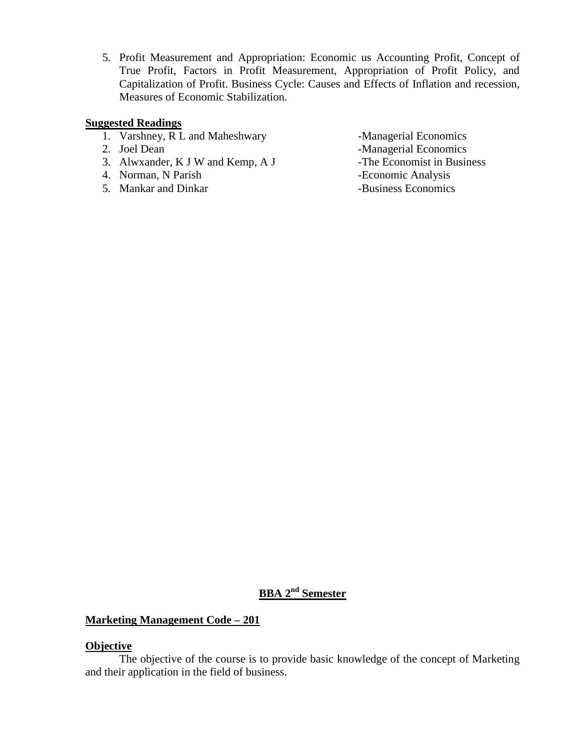5. Profit Measurement and Appropriation: Economic us Accounting Profit, Concept of True Profit, Factors in Profit Measurement, Appropriation of Profit Policy, and Capitalization of Profit. Business Cycle: Causes and Effects of Inflation and recession, Measures of Economic Stabilization.

#### **Suggested Readings**

- 1. Varshney, R L and Maheshwary -Managerial Economics
- 
- 3. Alwxander, K J W and Kemp, A J -The Economist in Business
- 4. Norman, N Parish -Economic Analysis
- 5. Mankar and Dinkar **-Business Economics**
- 
- 2. Joel Dean -Managerial Economics
	-
	-
	-

# **BBA 2nd Semester**

# **Marketing Management Code – 201**

#### **Objective**

The objective of the course is to provide basic knowledge of the concept of Marketing and their application in the field of business.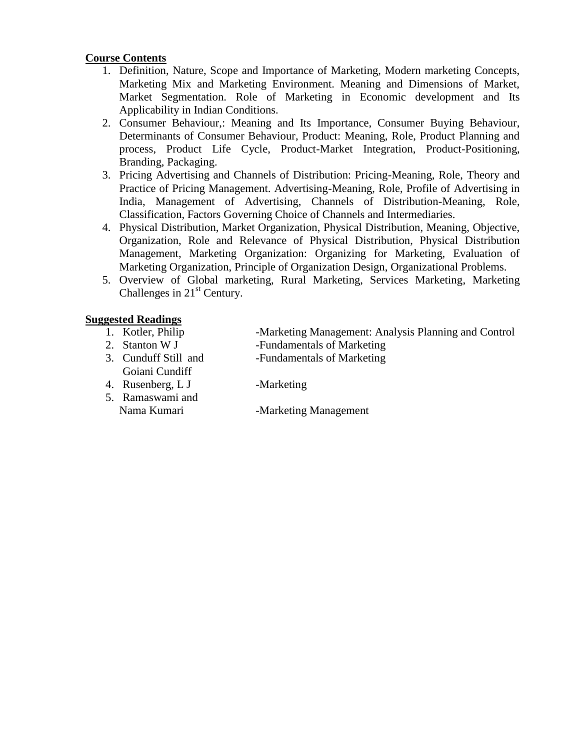# **Course Contents**

- 1. Definition, Nature, Scope and Importance of Marketing, Modern marketing Concepts, Marketing Mix and Marketing Environment. Meaning and Dimensions of Market, Market Segmentation. Role of Marketing in Economic development and Its Applicability in Indian Conditions.
- 2. Consumer Behaviour,: Meaning and Its Importance, Consumer Buying Behaviour, Determinants of Consumer Behaviour, Product: Meaning, Role, Product Planning and process, Product Life Cycle, Product-Market Integration, Product-Positioning, Branding, Packaging.
- 3. Pricing Advertising and Channels of Distribution: Pricing-Meaning, Role, Theory and Practice of Pricing Management. Advertising-Meaning, Role, Profile of Advertising in India, Management of Advertising, Channels of Distribution-Meaning, Role, Classification, Factors Governing Choice of Channels and Intermediaries.
- 4. Physical Distribution, Market Organization, Physical Distribution, Meaning, Objective, Organization, Role and Relevance of Physical Distribution, Physical Distribution Management, Marketing Organization: Organizing for Marketing, Evaluation of Marketing Organization, Principle of Organization Design, Organizational Problems.
- 5. Overview of Global marketing, Rural Marketing, Services Marketing, Marketing Challenges in 21<sup>st</sup> Century.

# **Suggested Readings**

- 
- 2. Stanton W J -Fundamentals of Marketing
- 3. Cunduff Still and -Fundamentals of Marketing Goiani Cundiff

1. Kotler, Philip -Marketing Management: Analysis Planning and Control

- 
- 4. Rusenberg, L J -Marketing
- 5. Ramaswami and Nama Kumari -Marketing Management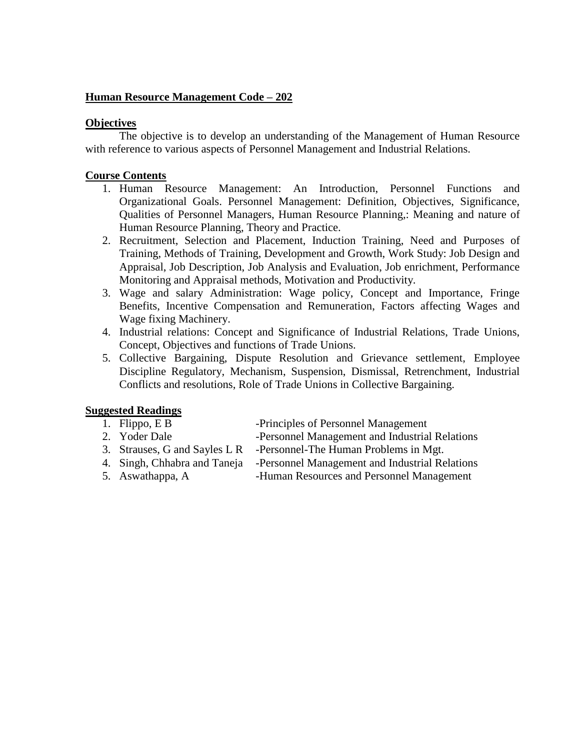# **Human Resource Management Code – 202**

# **Objectives**

The objective is to develop an understanding of the Management of Human Resource with reference to various aspects of Personnel Management and Industrial Relations.

# **Course Contents**

- 1. Human Resource Management: An Introduction, Personnel Functions and Organizational Goals. Personnel Management: Definition, Objectives, Significance, Qualities of Personnel Managers, Human Resource Planning,: Meaning and nature of Human Resource Planning, Theory and Practice.
- 2. Recruitment, Selection and Placement, Induction Training, Need and Purposes of Training, Methods of Training, Development and Growth, Work Study: Job Design and Appraisal, Job Description, Job Analysis and Evaluation, Job enrichment, Performance Monitoring and Appraisal methods, Motivation and Productivity.
- 3. Wage and salary Administration: Wage policy, Concept and Importance, Fringe Benefits, Incentive Compensation and Remuneration, Factors affecting Wages and Wage fixing Machinery.
- 4. Industrial relations: Concept and Significance of Industrial Relations, Trade Unions, Concept, Objectives and functions of Trade Unions.
- 5. Collective Bargaining, Dispute Resolution and Grievance settlement, Employee Discipline Regulatory, Mechanism, Suspension, Dismissal, Retrenchment, Industrial Conflicts and resolutions, Role of Trade Unions in Collective Bargaining.

# **Suggested Readings**

- 
- 
- 1. Flippo, E B -Principles of Personnel Management
- 2. Yoder Dale -Personnel Management and Industrial Relations<br>3. Strauses, G and Savles L R -Personnel-The Human Problems in Mgt.
	- -Personnel-The Human Problems in Mgt.
- 4. Singh, Chhabra and Taneja -Personnel Management and Industrial Relations
- 5. Aswathappa, A -Human Resources and Personnel Management
-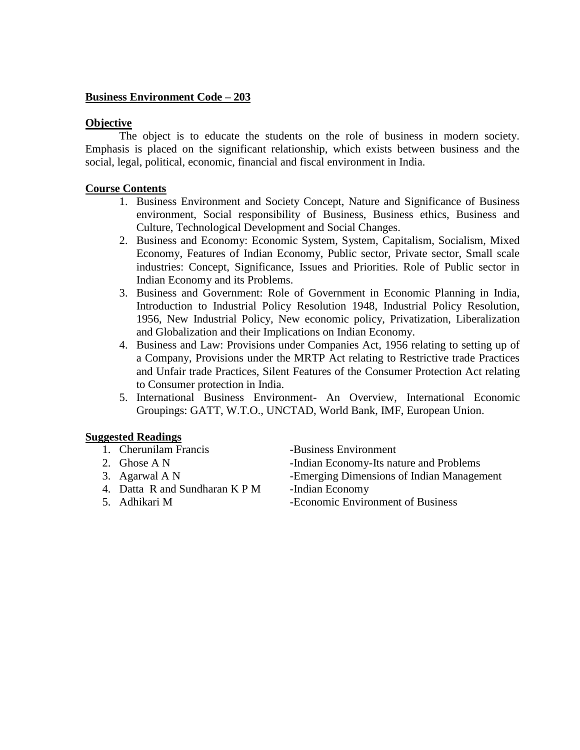# **Business Environment Code – 203**

# **Objective**

The object is to educate the students on the role of business in modern society. Emphasis is placed on the significant relationship, which exists between business and the social, legal, political, economic, financial and fiscal environment in India.

# **Course Contents**

- 1. Business Environment and Society Concept, Nature and Significance of Business environment, Social responsibility of Business, Business ethics, Business and Culture, Technological Development and Social Changes.
- 2. Business and Economy: Economic System, System, Capitalism, Socialism, Mixed Economy, Features of Indian Economy, Public sector, Private sector, Small scale industries: Concept, Significance, Issues and Priorities. Role of Public sector in Indian Economy and its Problems.
- 3. Business and Government: Role of Government in Economic Planning in India, Introduction to Industrial Policy Resolution 1948, Industrial Policy Resolution, 1956, New Industrial Policy, New economic policy, Privatization, Liberalization and Globalization and their Implications on Indian Economy.
- 4. Business and Law: Provisions under Companies Act, 1956 relating to setting up of a Company, Provisions under the MRTP Act relating to Restrictive trade Practices and Unfair trade Practices, Silent Features of the Consumer Protection Act relating to Consumer protection in India.
- 5. International Business Environment- An Overview, International Economic Groupings: GATT, W.T.O., UNCTAD, World Bank, IMF, European Union.

# **Suggested Readings**

- 1. Cherunilam Francis -Business Environment
- 
- 
- 4. Datta R and Sundharan K P M -Indian Economy
- 

2. Ghose A N -Indian Economy-Its nature and Problems 3. Agarwal A N -Emerging Dimensions of Indian Management 5. Adhikari M -Economic Environment of Business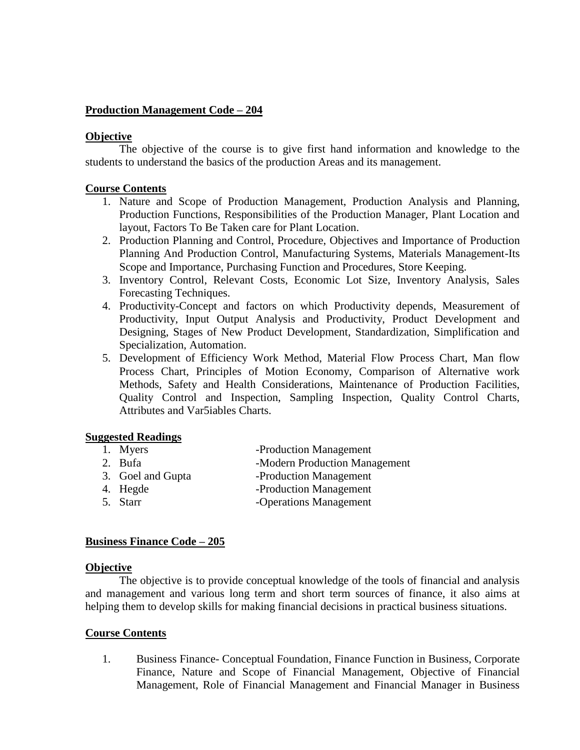# **Production Management Code – 204**

#### **Objective**

The objective of the course is to give first hand information and knowledge to the students to understand the basics of the production Areas and its management.

#### **Course Contents**

- 1. Nature and Scope of Production Management, Production Analysis and Planning, Production Functions, Responsibilities of the Production Manager, Plant Location and layout, Factors To Be Taken care for Plant Location.
- 2. Production Planning and Control, Procedure, Objectives and Importance of Production Planning And Production Control, Manufacturing Systems, Materials Management-Its Scope and Importance, Purchasing Function and Procedures, Store Keeping.
- 3. Inventory Control, Relevant Costs, Economic Lot Size, Inventory Analysis, Sales Forecasting Techniques.
- 4. Productivity-Concept and factors on which Productivity depends, Measurement of Productivity, Input Output Analysis and Productivity, Product Development and Designing, Stages of New Product Development, Standardization, Simplification and Specialization, Automation.
- 5. Development of Efficiency Work Method, Material Flow Process Chart, Man flow Process Chart, Principles of Motion Economy, Comparison of Alternative work Methods, Safety and Health Considerations, Maintenance of Production Facilities, Quality Control and Inspection, Sampling Inspection, Quality Control Charts, Attributes and Var5iables Charts.

# **Suggested Readings**

- 1. Myers -Production Management
- 2. Bufa -Modern Production Management
- 3. Goel and Gupta -Production Management
- 4. Hegde -Production Management
- 5. Starr -Operations Management

# **Business Finance Code – 205**

#### **Objective**

The objective is to provide conceptual knowledge of the tools of financial and analysis and management and various long term and short term sources of finance, it also aims at helping them to develop skills for making financial decisions in practical business situations.

# **Course Contents**

1. Business Finance- Conceptual Foundation, Finance Function in Business, Corporate Finance, Nature and Scope of Financial Management, Objective of Financial Management, Role of Financial Management and Financial Manager in Business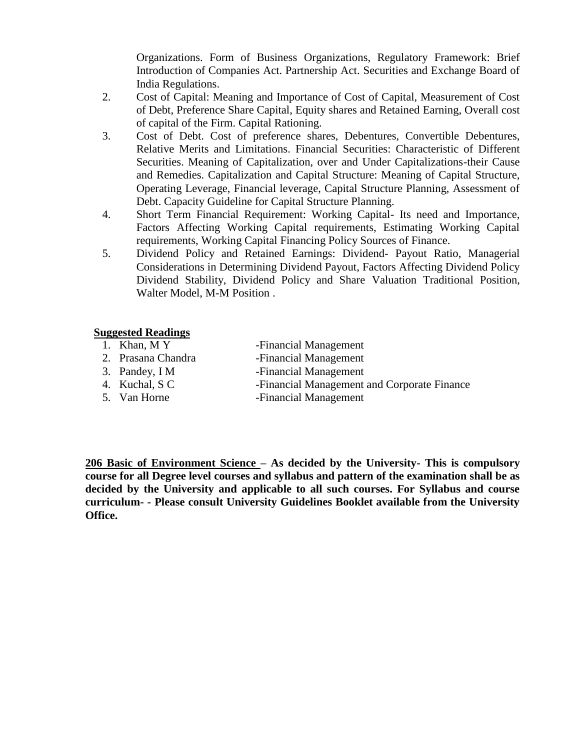Organizations. Form of Business Organizations, Regulatory Framework: Brief Introduction of Companies Act. Partnership Act. Securities and Exchange Board of India Regulations.

- 2. Cost of Capital: Meaning and Importance of Cost of Capital, Measurement of Cost of Debt, Preference Share Capital, Equity shares and Retained Earning, Overall cost of capital of the Firm. Capital Rationing.
- 3. Cost of Debt. Cost of preference shares, Debentures, Convertible Debentures, Relative Merits and Limitations. Financial Securities: Characteristic of Different Securities. Meaning of Capitalization, over and Under Capitalizations-their Cause and Remedies. Capitalization and Capital Structure: Meaning of Capital Structure, Operating Leverage, Financial leverage, Capital Structure Planning, Assessment of Debt. Capacity Guideline for Capital Structure Planning.
- 4. Short Term Financial Requirement: Working Capital- Its need and Importance, Factors Affecting Working Capital requirements, Estimating Working Capital requirements, Working Capital Financing Policy Sources of Finance.
- 5. Dividend Policy and Retained Earnings: Dividend- Payout Ratio, Managerial Considerations in Determining Dividend Payout, Factors Affecting Dividend Policy Dividend Stability, Dividend Policy and Share Valuation Traditional Position, Walter Model, M-M Position .

# **Suggested Readings**<br>1. Khan, M Y

- 
- 2. Prasana Chandra Financial Management
- -Financial Management
	-
- 
- 3. Pandey, I M -Financial Management
- 4. Kuchal, S C -Financial Management and Corporate Finance
- 5. Van Horne Financial Management

**206 Basic of Environment Science – As decided by the University- This is compulsory course for all Degree level courses and syllabus and pattern of the examination shall be as decided by the University and applicable to all such courses. For Syllabus and course curriculum- - Please consult University Guidelines Booklet available from the University Office.**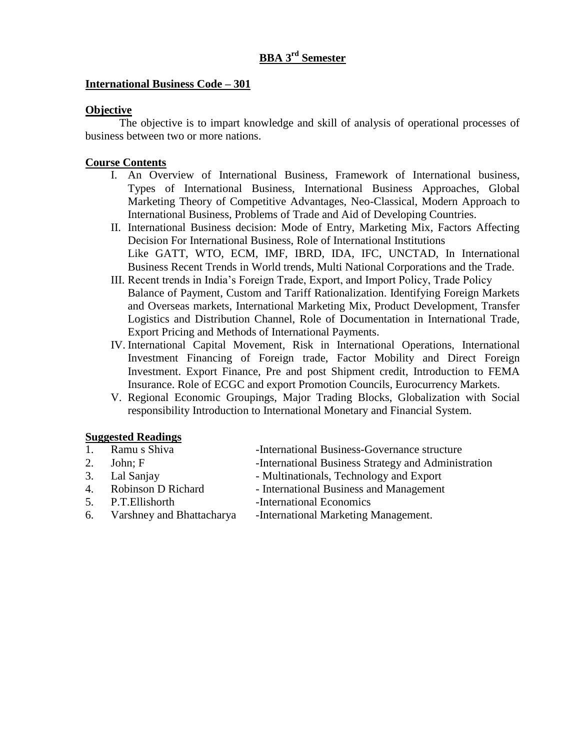# **BBA 3rd Semester**

## **International Business Code – 301**

#### **Objective**

The objective is to impart knowledge and skill of analysis of operational processes of business between two or more nations.

#### **Course Contents**

- I. An Overview of International Business, Framework of International business, Types of International Business, International Business Approaches, Global Marketing Theory of Competitive Advantages, Neo-Classical, Modern Approach to International Business, Problems of Trade and Aid of Developing Countries.
- II. International Business decision: Mode of Entry, Marketing Mix, Factors Affecting Decision For International Business, Role of International Institutions Like GATT, WTO, ECM, IMF, IBRD, IDA, IFC, UNCTAD, In International Business Recent Trends in World trends, Multi National Corporations and the Trade.
- III. Recent trends in India's Foreign Trade, Export, and Import Policy, Trade Policy Balance of Payment, Custom and Tariff Rationalization. Identifying Foreign Markets and Overseas markets, International Marketing Mix, Product Development, Transfer Logistics and Distribution Channel, Role of Documentation in International Trade, Export Pricing and Methods of International Payments.
- IV. International Capital Movement, Risk in International Operations, International Investment Financing of Foreign trade, Factor Mobility and Direct Foreign Investment. Export Finance, Pre and post Shipment credit, Introduction to FEMA Insurance. Role of ECGC and export Promotion Councils, Eurocurrency Markets.
- V. Regional Economic Groupings, Major Trading Blocks, Globalization with Social responsibility Introduction to International Monetary and Financial System.

#### **Suggested Readings**

| Ramu s Shiva<br>-International Business-Governance structure |  |
|--------------------------------------------------------------|--|
|--------------------------------------------------------------|--|

- 2. John; F -International Business Strategy and Administration
- 
- 3. Lal Sanjay Multinationals, Technology and Export
- 4. Robinson D Richard International Business and Management
- 5. P.T. Ellishorth -International Economics
- 
- 
- 6. Varshney and Bhattacharya -International Marketing Management.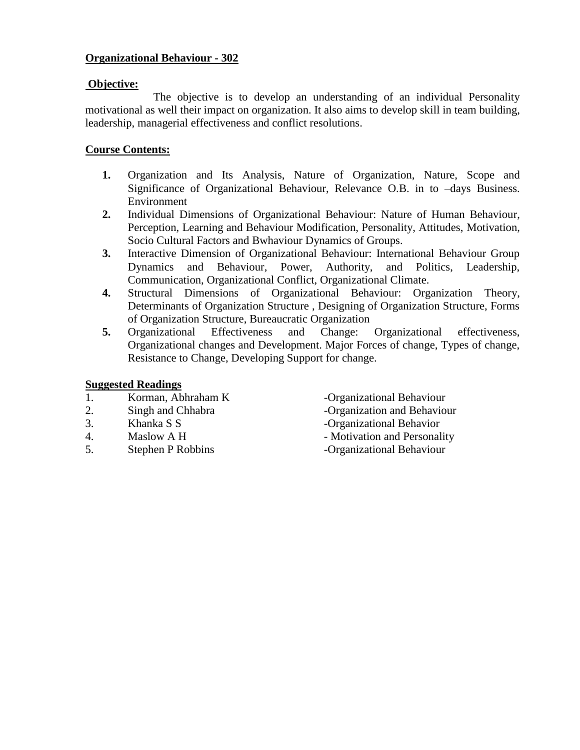# **Organizational Behaviour - 302**

# **Objective:**

The objective is to develop an understanding of an individual Personality motivational as well their impact on organization. It also aims to develop skill in team building, leadership, managerial effectiveness and conflict resolutions.

# **Course Contents:**

- **1.** Organization and Its Analysis, Nature of Organization, Nature, Scope and Significance of Organizational Behaviour, Relevance O.B. in to –days Business. Environment
- **2.** Individual Dimensions of Organizational Behaviour: Nature of Human Behaviour, Perception, Learning and Behaviour Modification, Personality, Attitudes, Motivation, Socio Cultural Factors and Bwhaviour Dynamics of Groups.
- **3.** Interactive Dimension of Organizational Behaviour: International Behaviour Group Dynamics and Behaviour, Power, Authority, and Politics, Leadership, Communication, Organizational Conflict, Organizational Climate.
- **4.** Structural Dimensions of Organizational Behaviour: Organization Theory, Determinants of Organization Structure , Designing of Organization Structure, Forms of Organization Structure, Bureaucratic Organization
- **5.** Organizational Effectiveness and Change: Organizational effectiveness, Organizational changes and Development. Major Forces of change, Types of change, Resistance to Change, Developing Support for change.

# **Suggested Readings**

- 1. Korman, Abhraham K -Organizational Behaviour
- 
- 
- 
- 5. Stephen P Robbins -Organizational Behaviour
- 
- 2. Singh and Chhabra Organization and Behaviour
- 3. Khanka S S -Organizational Behavior
- 4. Maslow A H Motivation and Personality
	-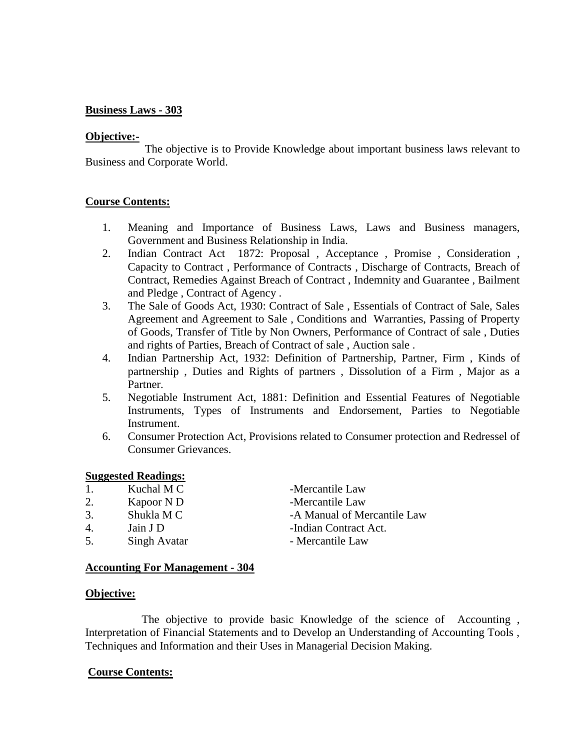# **Business Laws - 303**

#### **Objective:-**

The objective is to Provide Knowledge about important business laws relevant to Business and Corporate World.

# **Course Contents:**

- 1. Meaning and Importance of Business Laws, Laws and Business managers, Government and Business Relationship in India.
- 2. Indian Contract Act 1872: Proposal , Acceptance , Promise , Consideration , Capacity to Contract , Performance of Contracts , Discharge of Contracts, Breach of Contract, Remedies Against Breach of Contract , Indemnity and Guarantee , Bailment and Pledge , Contract of Agency .
- 3. The Sale of Goods Act, 1930: Contract of Sale , Essentials of Contract of Sale, Sales Agreement and Agreement to Sale , Conditions and Warranties, Passing of Property of Goods, Transfer of Title by Non Owners, Performance of Contract of sale , Duties and rights of Parties, Breach of Contract of sale , Auction sale .
- 4. Indian Partnership Act, 1932: Definition of Partnership, Partner, Firm , Kinds of partnership , Duties and Rights of partners , Dissolution of a Firm , Major as a Partner.
- 5. Negotiable Instrument Act, 1881: Definition and Essential Features of Negotiable Instruments, Types of Instruments and Endorsement, Parties to Negotiable Instrument.
- 6. Consumer Protection Act, Provisions related to Consumer protection and Redressel of Consumer Grievances.

#### **Suggested Readings:**

- 1. Kuchal M C -Mercantile Law
- 2. Kapoor N D -Mercantile Law
- 
- 
- 5. Singh Avatar Mercantile Law

3. Shukla M C -A Manual of Mercantile Law 4. Jain J D -Indian Contract Act.

# **Accounting For Management - 304**

#### **Objective:**

The objective to provide basic Knowledge of the science of Accounting , Interpretation of Financial Statements and to Develop an Understanding of Accounting Tools , Techniques and Information and their Uses in Managerial Decision Making.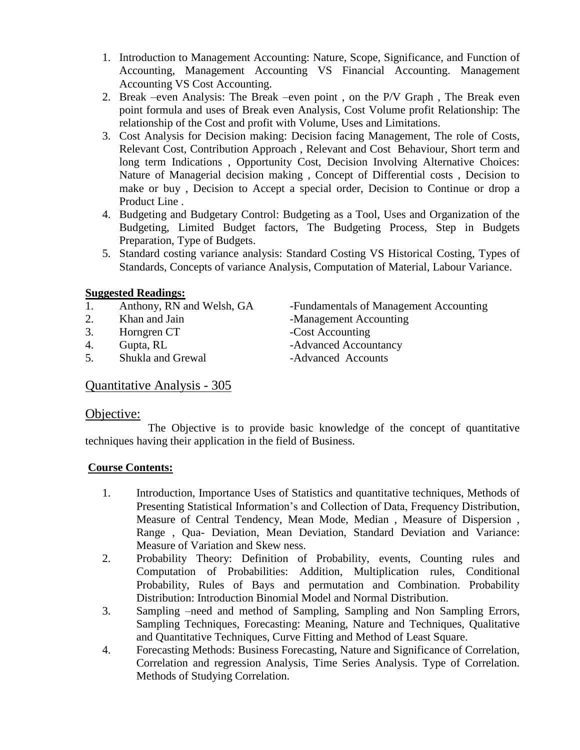- 1. Introduction to Management Accounting: Nature, Scope, Significance, and Function of Accounting, Management Accounting VS Financial Accounting. Management Accounting VS Cost Accounting.
- 2. Break –even Analysis: The Break –even point , on the P/V Graph , The Break even point formula and uses of Break even Analysis, Cost Volume profit Relationship: The relationship of the Cost and profit with Volume, Uses and Limitations.
- 3. Cost Analysis for Decision making: Decision facing Management, The role of Costs, Relevant Cost, Contribution Approach , Relevant and Cost Behaviour, Short term and long term Indications , Opportunity Cost, Decision Involving Alternative Choices: Nature of Managerial decision making , Concept of Differential costs , Decision to make or buy , Decision to Accept a special order, Decision to Continue or drop a Product Line .
- 4. Budgeting and Budgetary Control: Budgeting as a Tool, Uses and Organization of the Budgeting, Limited Budget factors, The Budgeting Process, Step in Budgets Preparation, Type of Budgets.
- 5. Standard costing variance analysis: Standard Costing VS Historical Costing, Types of Standards, Concepts of variance Analysis, Computation of Material, Labour Variance.

- 
- 
- 3. Horngren CT -Cost Accounting
- 
- 5. Shukla and Grewal -Advanced Accounts

1. Anthony, RN and Welsh, GA -Fundamentals of Management Accounting 2. Khan and Jain -Management Accounting 4. Gupta, RL -Advanced Accountancy

# Quantitative Analysis - 305

# Objective:

The Objective is to provide basic knowledge of the concept of quantitative techniques having their application in the field of Business.

- 1. Introduction, Importance Uses of Statistics and quantitative techniques, Methods of Presenting Statistical Information's and Collection of Data, Frequency Distribution, Measure of Central Tendency, Mean Mode, Median , Measure of Dispersion , Range , Qua- Deviation, Mean Deviation, Standard Deviation and Variance: Measure of Variation and Skew ness.
- 2. Probability Theory: Definition of Probability, events, Counting rules and Computation of Probabilities: Addition, Multiplication rules, Conditional Probability, Rules of Bays and permutation and Combination. Probability Distribution: Introduction Binomial Model and Normal Distribution.
- 3. Sampling –need and method of Sampling, Sampling and Non Sampling Errors, Sampling Techniques, Forecasting: Meaning, Nature and Techniques, Qualitative and Quantitative Techniques, Curve Fitting and Method of Least Square.
- 4. Forecasting Methods: Business Forecasting, Nature and Significance of Correlation, Correlation and regression Analysis, Time Series Analysis. Type of Correlation. Methods of Studying Correlation.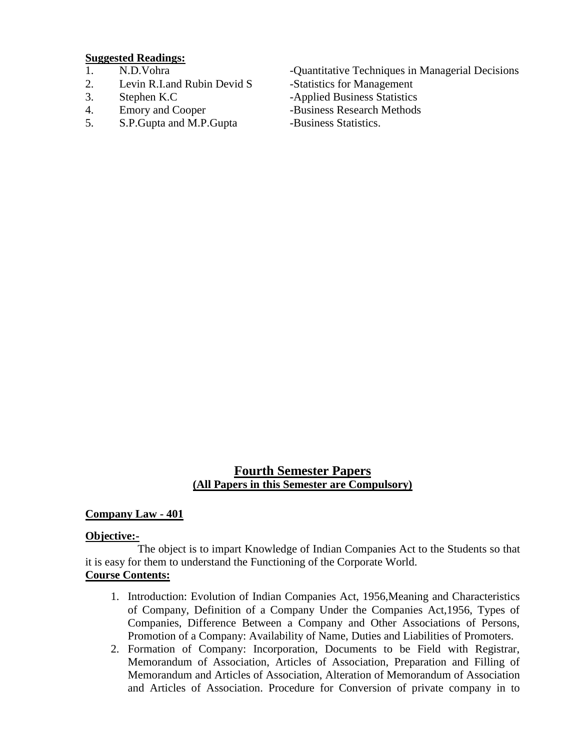- 
- 2. Levin R.I.and Rubin Devid S -Statistics for Management
- 
- 
- 5. S.P. Gupta and M.P. Gupta -Business Statistics.
- 1. N.D. Vohra -Quantitative Techniques in Managerial Decisions
	-
- 3. Stephen K.C -Applied Business Statistics
- 4. Emory and Cooper -Business Research Methods
	-

# **Fourth Semester Papers (All Papers in this Semester are Compulsory)**

# **Company Law - 401**

# **Objective:-**

The object is to impart Knowledge of Indian Companies Act to the Students so that it is easy for them to understand the Functioning of the Corporate World. **Course Contents:**

- 1. Introduction: Evolution of Indian Companies Act, 1956,Meaning and Characteristics of Company, Definition of a Company Under the Companies Act,1956, Types of Companies, Difference Between a Company and Other Associations of Persons, Promotion of a Company: Availability of Name, Duties and Liabilities of Promoters.
- 2. Formation of Company: Incorporation, Documents to be Field with Registrar, Memorandum of Association, Articles of Association, Preparation and Filling of Memorandum and Articles of Association, Alteration of Memorandum of Association and Articles of Association. Procedure for Conversion of private company in to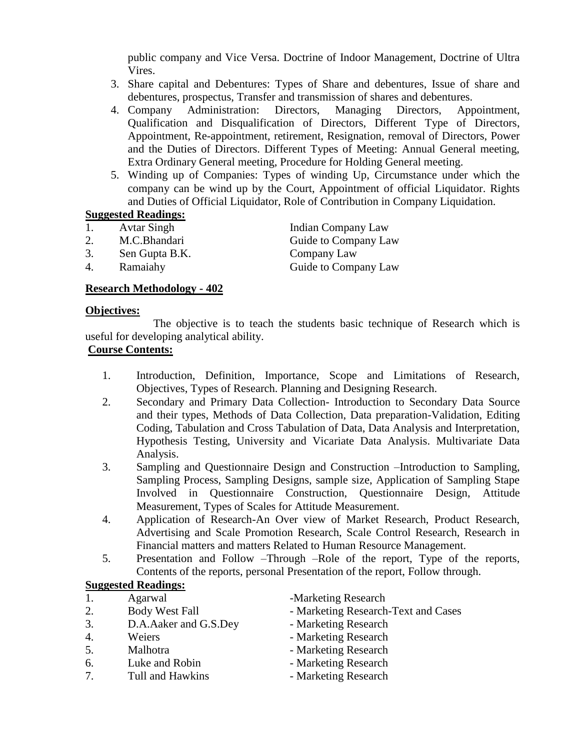public company and Vice Versa. Doctrine of Indoor Management, Doctrine of Ultra Vires.

- 3. Share capital and Debentures: Types of Share and debentures, Issue of share and debentures, prospectus, Transfer and transmission of shares and debentures.
- 4. Company Administration: Directors, Managing Directors, Appointment, Qualification and Disqualification of Directors, Different Type of Directors, Appointment, Re-appointment, retirement, Resignation, removal of Directors, Power and the Duties of Directors. Different Types of Meeting: Annual General meeting, Extra Ordinary General meeting, Procedure for Holding General meeting.
- 5. Winding up of Companies: Types of winding Up, Circumstance under which the company can be wind up by the Court, Appointment of official Liquidator. Rights and Duties of Official Liquidator, Role of Contribution in Company Liquidation.

# **Suggested Readings:**

- 1. Avtar Singh Indian Company Law
- 
- 3. Sen Gupta B.K. Company Law
- 

# **Research Methodology - 402**

# **Objectives:**

The objective is to teach the students basic technique of Research which is useful for developing analytical ability.

# **Course Contents:**

- 1. Introduction, Definition, Importance, Scope and Limitations of Research, Objectives, Types of Research. Planning and Designing Research.
- 2. Secondary and Primary Data Collection- Introduction to Secondary Data Source and their types, Methods of Data Collection, Data preparation-Validation, Editing Coding, Tabulation and Cross Tabulation of Data, Data Analysis and Interpretation, Hypothesis Testing, University and Vicariate Data Analysis. Multivariate Data Analysis.
- 3. Sampling and Questionnaire Design and Construction –Introduction to Sampling, Sampling Process, Sampling Designs, sample size, Application of Sampling Stape Involved in Questionnaire Construction, Questionnaire Design, Attitude Measurement, Types of Scales for Attitude Measurement.
- 4. Application of Research-An Over view of Market Research, Product Research, Advertising and Scale Promotion Research, Scale Control Research, Research in Financial matters and matters Related to Human Resource Management.
- 5. Presentation and Follow –Through –Role of the report, Type of the reports, Contents of the reports, personal Presentation of the report, Follow through.

# **Suggested Readings:**

- 
- 
- 3. D.A.Aaker and G.S.Dey Marketing Research
- 
- 
- 6. Luke and Robin Marketing Research
- 7. Tull and Hawkins Marketing Research

1. Agarwal -Marketing Research

- 2. Body West Fall Marketing Research-Text and Cases
	-
- 4. Weiers  **Marketing Research**
- 5. Malhotra Marketing Research
	-
	-

2. M.C.Bhandari Guide to Company Law 4. Ramaiahy Guide to Company Law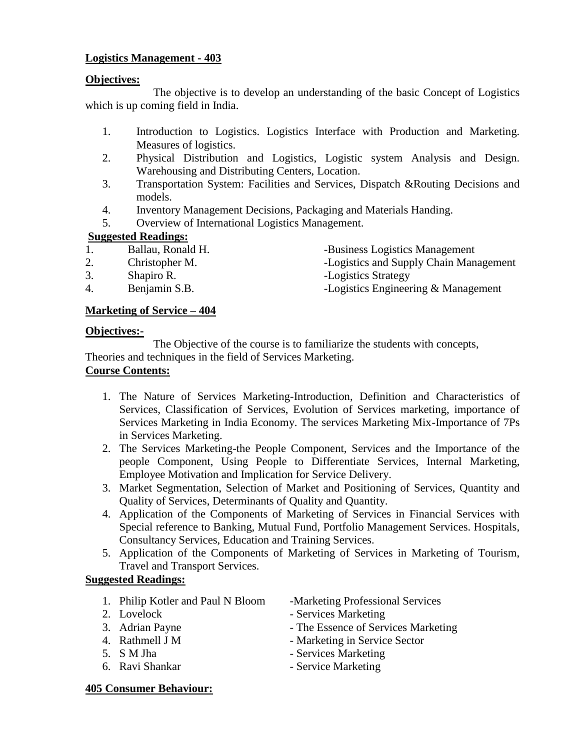# **Logistics Management - 403**

## **Objectives:**

The objective is to develop an understanding of the basic Concept of Logistics which is up coming field in India.

- 1. Introduction to Logistics. Logistics Interface with Production and Marketing. Measures of logistics.
- 2. Physical Distribution and Logistics, Logistic system Analysis and Design. Warehousing and Distributing Centers, Location.
- 3. Transportation System: Facilities and Services, Dispatch &Routing Decisions and models.
- 4. Inventory Management Decisions, Packaging and Materials Handing.
- 5. Overview of International Logistics Management.

# **Suggested Readings:**

- 1. Ballau, Ronald H. -Business Logistics Management
- 2. Christopher M. Logistics and Supply Chain Management
- 3. Shapiro R. Logistics Strategy
- 
- 
- 4. Benjamin S.B. **-Logistics Engineering & Management**

# **Marketing of Service – 404**

#### **Objectives:-**

The Objective of the course is to familiarize the students with concepts, Theories and techniques in the field of Services Marketing.

# **Course Contents:**

- 1. The Nature of Services Marketing-Introduction, Definition and Characteristics of Services, Classification of Services, Evolution of Services marketing, importance of Services Marketing in India Economy. The services Marketing Mix-Importance of 7Ps in Services Marketing.
- 2. The Services Marketing-the People Component, Services and the Importance of the people Component, Using People to Differentiate Services, Internal Marketing, Employee Motivation and Implication for Service Delivery.
- 3. Market Segmentation, Selection of Market and Positioning of Services, Quantity and Quality of Services, Determinants of Quality and Quantity.
- 4. Application of the Components of Marketing of Services in Financial Services with Special reference to Banking, Mutual Fund, Portfolio Management Services. Hospitals, Consultancy Services, Education and Training Services.
- 5. Application of the Components of Marketing of Services in Marketing of Tourism, Travel and Transport Services.

# **Suggested Readings:**

- 1. Philip Kotler and Paul N Bloom Marketing Professional Services
- 
- 
- 
- 
- 
- 
- 2. Lovelock Services Marketing
- 3. Adrian Payne The Essence of Services Marketing
- 4. Rathmell J M Marketing in Service Sector
- 5. S M Jha Services Marketing
- 6. Ravi Shankar Service Marketing

#### **405 Consumer Behaviour:**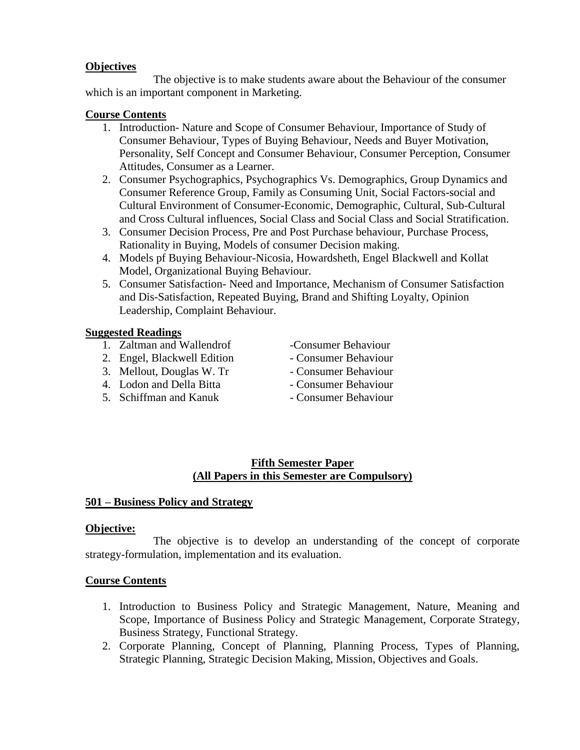# **Objectives**

The objective is to make students aware about the Behaviour of the consumer which is an important component in Marketing.

# **Course Contents**

- 1. Introduction- Nature and Scope of Consumer Behaviour, Importance of Study of Consumer Behaviour, Types of Buying Behaviour, Needs and Buyer Motivation, Personality, Self Concept and Consumer Behaviour, Consumer Perception, Consumer Attitudes, Consumer as a Learner.
- 2. Consumer Psychographics, Psychographics Vs. Demographics, Group Dynamics and Consumer Reference Group, Family as Consuming Unit, Social Factors-social and Cultural Environment of Consumer-Economic, Demographic, Cultural, Sub-Cultural and Cross Cultural influences, Social Class and Social Class and Social Stratification.
- 3. Consumer Decision Process, Pre and Post Purchase behaviour, Purchase Process, Rationality in Buying, Models of consumer Decision making.
- 4. Models pf Buying Behaviour-Nicosia, Howardsheth, Engel Blackwell and Kollat Model, Organizational Buying Behaviour.
- 5. Consumer Satisfaction- Need and Importance, Mechanism of Consumer Satisfaction and Dis-Satisfaction, Repeated Buying, Brand and Shifting Loyalty, Opinion Leadership, Complaint Behaviour.

# **Suggested Readings**

- 1. Zaltman and Wallendrof -Consumer Behaviour
- 2. Engel, Blackwell Edition Consumer Behaviour
- 3. Mellout, Douglas W. Tr Consumer Behaviour
- 4. Lodon and Della Bitta Consumer Behaviour
- 5. Schiffman and Kanuk Consumer Behaviour
- 
- 
- 
- 
- 

# **Fifth Semester Paper (All Papers in this Semester are Compulsory)**

# **501 – Business Policy and Strategy**

# **Objective:**

The objective is to develop an understanding of the concept of corporate strategy-formulation, implementation and its evaluation.

- 1. Introduction to Business Policy and Strategic Management, Nature, Meaning and Scope, Importance of Business Policy and Strategic Management, Corporate Strategy, Business Strategy, Functional Strategy.
- 2. Corporate Planning, Concept of Planning, Planning Process, Types of Planning, Strategic Planning, Strategic Decision Making, Mission, Objectives and Goals.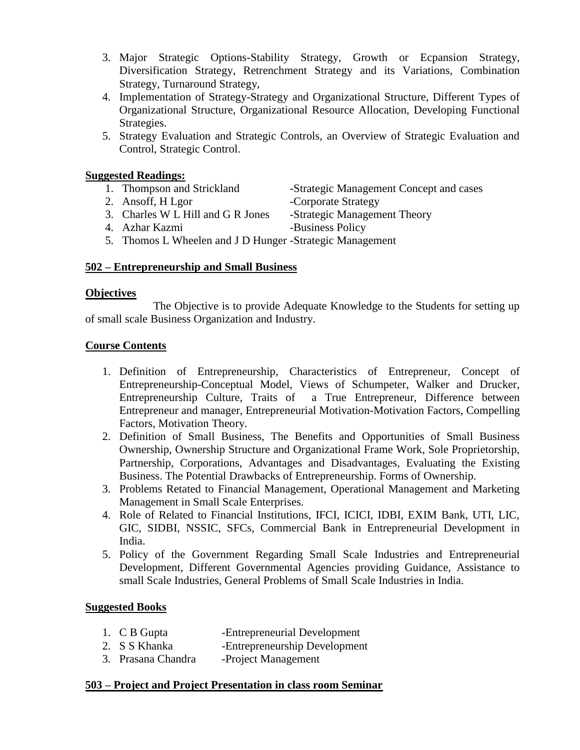- 3. Major Strategic Options-Stability Strategy, Growth or Ecpansion Strategy, Diversification Strategy, Retrenchment Strategy and its Variations, Combination Strategy, Turnaround Strategy,
- 4. Implementation of Strategy-Strategy and Organizational Structure, Different Types of Organizational Structure, Organizational Resource Allocation, Developing Functional Strategies.
- 5. Strategy Evaluation and Strategic Controls, an Overview of Strategic Evaluation and Control, Strategic Control.

- 
- 2. Ansoff, H Lgor -Corporate Strategy
- 3. Charles W L Hill and G R Jones -Strategic Management Theory
- 1. Thompson and Strickland -Strategic Management Concept and cases
	-
	-
- 4. Azhar Kazmi -Business Policy

5. Thomos L Wheelen and J D Hunger -Strategic Management

# **502 – Entrepreneurship and Small Business**

# **Objectives**

The Objective is to provide Adequate Knowledge to the Students for setting up of small scale Business Organization and Industry.

# **Course Contents**

- 1. Definition of Entrepreneurship, Characteristics of Entrepreneur, Concept of Entrepreneurship-Conceptual Model, Views of Schumpeter, Walker and Drucker, Entrepreneurship Culture, Traits of a True Entrepreneur, Difference between Entrepreneur and manager, Entrepreneurial Motivation-Motivation Factors, Compelling Factors, Motivation Theory.
- 2. Definition of Small Business, The Benefits and Opportunities of Small Business Ownership, Ownership Structure and Organizational Frame Work, Sole Proprietorship, Partnership, Corporations, Advantages and Disadvantages, Evaluating the Existing Business. The Potential Drawbacks of Entrepreneurship. Forms of Ownership.
- 3. Problems Retated to Financial Management, Operational Management and Marketing Management in Small Scale Enterprises.
- 4. Role of Related to Financial Institutions, IFCI, ICICI, IDBI, EXIM Bank, UTI, LIC, GIC, SIDBI, NSSIC, SFCs, Commercial Bank in Entrepreneurial Development in India.
- 5. Policy of the Government Regarding Small Scale Industries and Entrepreneurial Development, Different Governmental Agencies providing Guidance, Assistance to small Scale Industries, General Problems of Small Scale Industries in India.

# **Suggested Books**

- 1. C B Gupta -Entrepreneurial Development
- 2. S S Khanka -Entrepreneurship Development
- 3. Prasana Chandra -Project Management

# **503 – Project and Project Presentation in class room Seminar**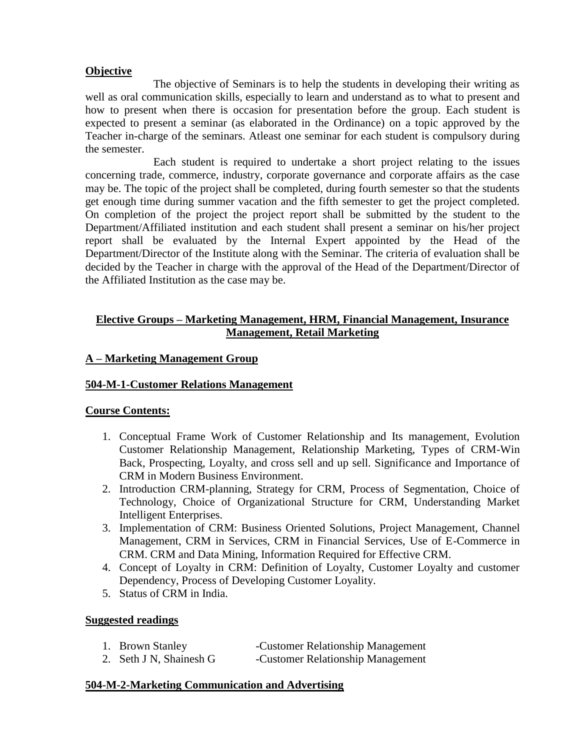# **Objective**

The objective of Seminars is to help the students in developing their writing as well as oral communication skills, especially to learn and understand as to what to present and how to present when there is occasion for presentation before the group. Each student is expected to present a seminar (as elaborated in the Ordinance) on a topic approved by the Teacher in-charge of the seminars. Atleast one seminar for each student is compulsory during the semester.

Each student is required to undertake a short project relating to the issues concerning trade, commerce, industry, corporate governance and corporate affairs as the case may be. The topic of the project shall be completed, during fourth semester so that the students get enough time during summer vacation and the fifth semester to get the project completed. On completion of the project the project report shall be submitted by the student to the Department/Affiliated institution and each student shall present a seminar on his/her project report shall be evaluated by the Internal Expert appointed by the Head of the Department/Director of the Institute along with the Seminar. The criteria of evaluation shall be decided by the Teacher in charge with the approval of the Head of the Department/Director of the Affiliated Institution as the case may be.

# **Elective Groups – Marketing Management, HRM, Financial Management, Insurance Management, Retail Marketing**

# **A – Marketing Management Group**

# **504-M-1-Customer Relations Management**

# **Course Contents:**

- 1. Conceptual Frame Work of Customer Relationship and Its management, Evolution Customer Relationship Management, Relationship Marketing, Types of CRM-Win Back, Prospecting, Loyalty, and cross sell and up sell. Significance and Importance of CRM in Modern Business Environment.
- 2. Introduction CRM-planning, Strategy for CRM, Process of Segmentation, Choice of Technology, Choice of Organizational Structure for CRM, Understanding Market Intelligent Enterprises.
- 3. Implementation of CRM: Business Oriented Solutions, Project Management, Channel Management, CRM in Services, CRM in Financial Services, Use of E-Commerce in CRM. CRM and Data Mining, Information Required for Effective CRM.
- 4. Concept of Loyalty in CRM: Definition of Loyalty, Customer Loyalty and customer Dependency, Process of Developing Customer Loyality.
- 5. Status of CRM in India.

# **Suggested readings**

- 1. Brown Stanley -Customer Relationship Management
- 2. Seth J N, Shainesh G -Customer Relationship Management

# **504-M-2-Marketing Communication and Advertising**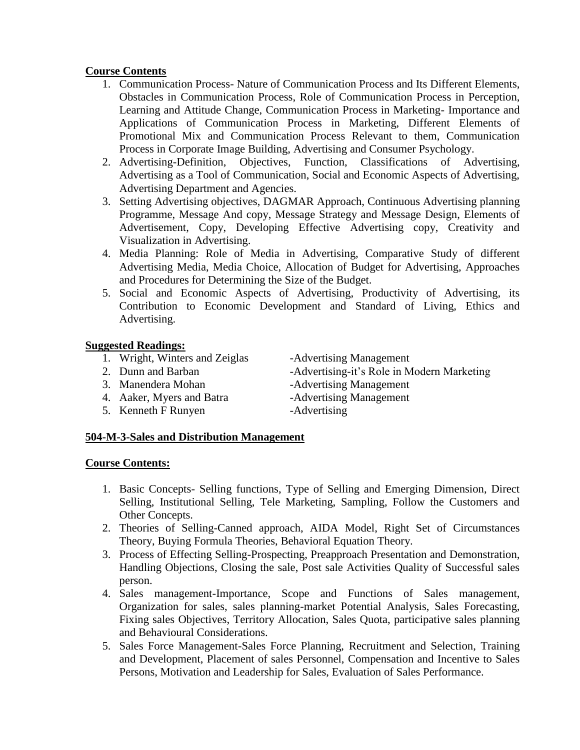# **Course Contents**

- 1. Communication Process- Nature of Communication Process and Its Different Elements, Obstacles in Communication Process, Role of Communication Process in Perception, Learning and Attitude Change, Communication Process in Marketing- Importance and Applications of Communication Process in Marketing, Different Elements of Promotional Mix and Communication Process Relevant to them, Communication Process in Corporate Image Building, Advertising and Consumer Psychology.
- 2. Advertising-Definition, Objectives, Function, Classifications of Advertising, Advertising as a Tool of Communication, Social and Economic Aspects of Advertising, Advertising Department and Agencies.
- 3. Setting Advertising objectives, DAGMAR Approach, Continuous Advertising planning Programme, Message And copy, Message Strategy and Message Design, Elements of Advertisement, Copy, Developing Effective Advertising copy, Creativity and Visualization in Advertising.
- 4. Media Planning: Role of Media in Advertising, Comparative Study of different Advertising Media, Media Choice, Allocation of Budget for Advertising, Approaches and Procedures for Determining the Size of the Budget.
- 5. Social and Economic Aspects of Advertising, Productivity of Advertising, its Contribution to Economic Development and Standard of Living, Ethics and Advertising.

# **Suggested Readings:**

- 1. Wright, Winters and Zeiglas -Advertising Management
- 
- 
- 4. Aaker, Myers and Batra -Advertising Management
- 5. Kenneth F Runyen -Advertising

- 2. Dunn and Barban -Advertising-it's Role in Modern Marketing 3. Manendera Mohan - Advertising Management
	-
	-

# **504-M-3-Sales and Distribution Management**

- 1. Basic Concepts- Selling functions, Type of Selling and Emerging Dimension, Direct Selling, Institutional Selling, Tele Marketing, Sampling, Follow the Customers and Other Concepts.
- 2. Theories of Selling-Canned approach, AIDA Model, Right Set of Circumstances Theory, Buying Formula Theories, Behavioral Equation Theory.
- 3. Process of Effecting Selling-Prospecting, Preapproach Presentation and Demonstration, Handling Objections, Closing the sale, Post sale Activities Quality of Successful sales person.
- 4. Sales management-Importance, Scope and Functions of Sales management, Organization for sales, sales planning-market Potential Analysis, Sales Forecasting, Fixing sales Objectives, Territory Allocation, Sales Quota, participative sales planning and Behavioural Considerations.
- 5. Sales Force Management-Sales Force Planning, Recruitment and Selection, Training and Development, Placement of sales Personnel, Compensation and Incentive to Sales Persons, Motivation and Leadership for Sales, Evaluation of Sales Performance.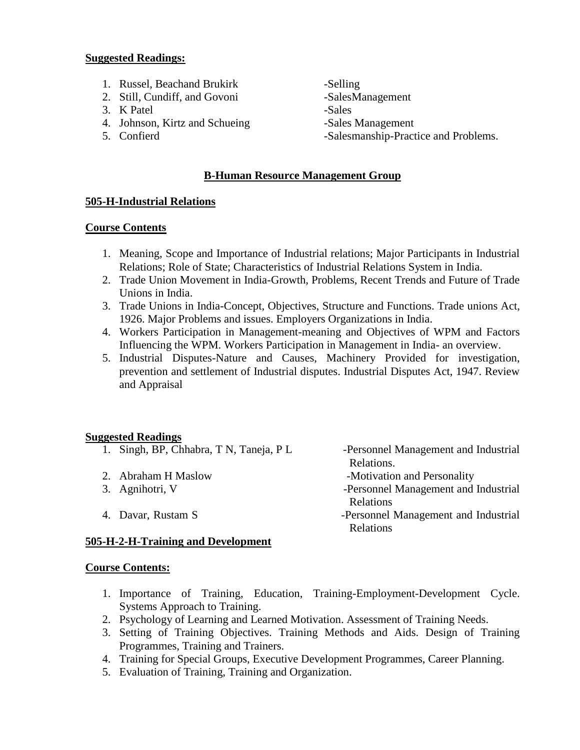- 1. Russel, Beachand Brukirk -Selling
- 2. Still, Cundiff, and Govoni -SalesManagement
- 3. K Patel -Sales
- 4. Johnson, Kirtz and Schueing -Sales Management
- 

- 
- 
- 

Relations.

Relations

5. Confierd -Salesmanship-Practice and Problems.

# **B-Human Resource Management Group**

# **505-H-Industrial Relations**

# **Course Contents**

- 1. Meaning, Scope and Importance of Industrial relations; Major Participants in Industrial Relations; Role of State; Characteristics of Industrial Relations System in India.
- 2. Trade Union Movement in India-Growth, Problems, Recent Trends and Future of Trade Unions in India.
- 3. Trade Unions in India-Concept, Objectives, Structure and Functions. Trade unions Act, 1926. Major Problems and issues. Employers Organizations in India.
- 4. Workers Participation in Management-meaning and Objectives of WPM and Factors Influencing the WPM. Workers Participation in Management in India- an overview.
- 5. Industrial Disputes-Nature and Causes, Machinery Provided for investigation, prevention and settlement of Industrial disputes. Industrial Disputes Act, 1947. Review and Appraisal

# **Suggested Readings**

- 1. Singh, BP, Chhabra, T N, Taneja, P L -Personnel Management and Industrial
- 2. Abraham H Maslow **-Motivation and Personality**
- 3. Agnihotri, V -Personnel Management and Industrial
- 4. Davar, Rustam S -Personnel Management and Industrial

**505-H-2-H-Training and Development**

Relations

- 1. Importance of Training, Education, Training-Employment-Development Cycle. Systems Approach to Training.
- 2. Psychology of Learning and Learned Motivation. Assessment of Training Needs.
- 3. Setting of Training Objectives. Training Methods and Aids. Design of Training Programmes, Training and Trainers.
- 4. Training for Special Groups, Executive Development Programmes, Career Planning.
- 5. Evaluation of Training, Training and Organization.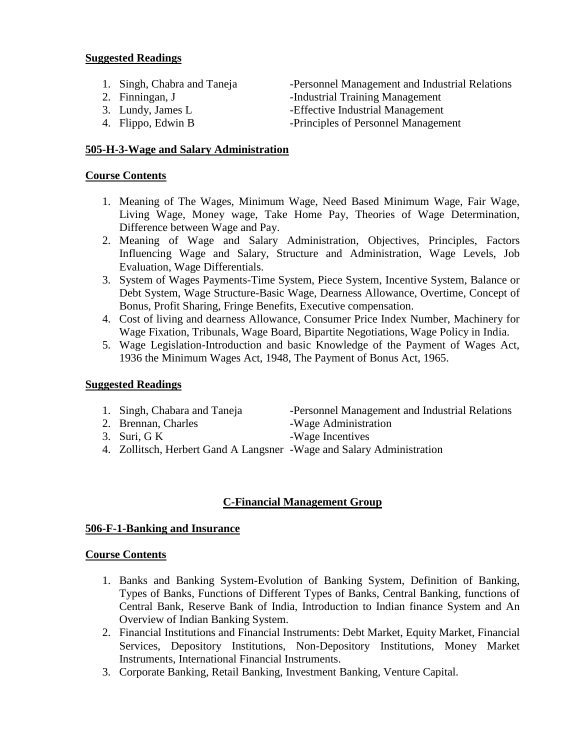- 
- 
- 
- 

1. Singh, Chabra and Taneja -Personnel Management and Industrial Relations

- 2. Finningan, J -Industrial Training Management
- 3. Lundy, James L -Effective Industrial Management
- 4. Flippo, Edwin B -Principles of Personnel Management

# **505-H-3-Wage and Salary Administration**

# **Course Contents**

- 1. Meaning of The Wages, Minimum Wage, Need Based Minimum Wage, Fair Wage, Living Wage, Money wage, Take Home Pay, Theories of Wage Determination, Difference between Wage and Pay.
- 2. Meaning of Wage and Salary Administration, Objectives, Principles, Factors Influencing Wage and Salary, Structure and Administration, Wage Levels, Job Evaluation, Wage Differentials.
- 3. System of Wages Payments-Time System, Piece System, Incentive System, Balance or Debt System, Wage Structure-Basic Wage, Dearness Allowance, Overtime, Concept of Bonus, Profit Sharing, Fringe Benefits, Executive compensation.
- 4. Cost of living and dearness Allowance, Consumer Price Index Number, Machinery for Wage Fixation, Tribunals, Wage Board, Bipartite Negotiations, Wage Policy in India.
- 5. Wage Legislation-Introduction and basic Knowledge of the Payment of Wages Act, 1936 the Minimum Wages Act, 1948, The Payment of Bonus Act, 1965.

# **Suggested Readings**

- 1. Singh, Chabara and Taneja -Personnel Management and Industrial Relations
- 2. Brennan, Charles -Wage Administration
- 3. Suri, G K -Wage Incentives
- 4. Zollitsch, Herbert Gand A Langsner -Wage and Salary Administration

# **C-Financial Management Group**

# **506-F-1-Banking and Insurance**

- 1. Banks and Banking System-Evolution of Banking System, Definition of Banking, Types of Banks, Functions of Different Types of Banks, Central Banking, functions of Central Bank, Reserve Bank of India, Introduction to Indian finance System and An Overview of Indian Banking System.
- 2. Financial Institutions and Financial Instruments: Debt Market, Equity Market, Financial Services, Depository Institutions, Non-Depository Institutions, Money Market Instruments, International Financial Instruments.
- 3. Corporate Banking, Retail Banking, Investment Banking, Venture Capital.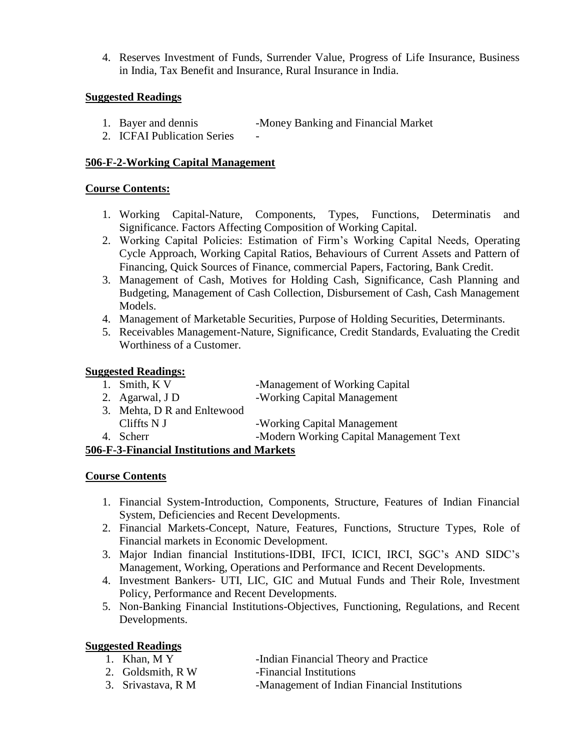4. Reserves Investment of Funds, Surrender Value, Progress of Life Insurance, Business in India, Tax Benefit and Insurance, Rural Insurance in India.

# **Suggested Readings**

- 1. Bayer and dennis -Money Banking and Financial Market
- 2. ICFAI Publication Series

# **506-F-2-Working Capital Management**

# **Course Contents:**

- 1. Working Capital-Nature, Components, Types, Functions, Determinatis and Significance. Factors Affecting Composition of Working Capital.
- 2. Working Capital Policies: Estimation of Firm's Working Capital Needs, Operating Cycle Approach, Working Capital Ratios, Behaviours of Current Assets and Pattern of Financing, Quick Sources of Finance, commercial Papers, Factoring, Bank Credit.
- 3. Management of Cash, Motives for Holding Cash, Significance, Cash Planning and Budgeting, Management of Cash Collection, Disbursement of Cash, Cash Management Models.
- 4. Management of Marketable Securities, Purpose of Holding Securities, Determinants.
- 5. Receivables Management-Nature, Significance, Credit Standards, Evaluating the Credit Worthiness of a Customer.

# **Suggested Readings:**

| 1. Smith, K V               | -Management of Working Capital          |
|-----------------------------|-----------------------------------------|
| 2. Agarwal, J D             | -Working Capital Management             |
| 3. Mehta, D R and Enltewood |                                         |
| Cliffts $N J$               | -Working Capital Management             |
| 4. Scherr                   | -Modern Working Capital Management Text |

# **506-F-3-Financial Institutions and Markets**

# **Course Contents**

- 1. Financial System-Introduction, Components, Structure, Features of Indian Financial System, Deficiencies and Recent Developments.
- 2. Financial Markets-Concept, Nature, Features, Functions, Structure Types, Role of Financial markets in Economic Development.
- 3. Major Indian financial Institutions-IDBI, IFCI, ICICI, IRCI, SGC's AND SIDC's Management, Working, Operations and Performance and Recent Developments.
- 4. Investment Bankers- UTI, LIC, GIC and Mutual Funds and Their Role, Investment Policy, Performance and Recent Developments.
- 5. Non-Banking Financial Institutions-Objectives, Functioning, Regulations, and Recent Developments.

# **Suggested Readings**

- 1. Khan, M Y -Indian Financial Theory and Practice
- 2. Goldsmith, R W -Financial Institutions
- 3. Srivastava, R M -Management of Indian Financial Institutions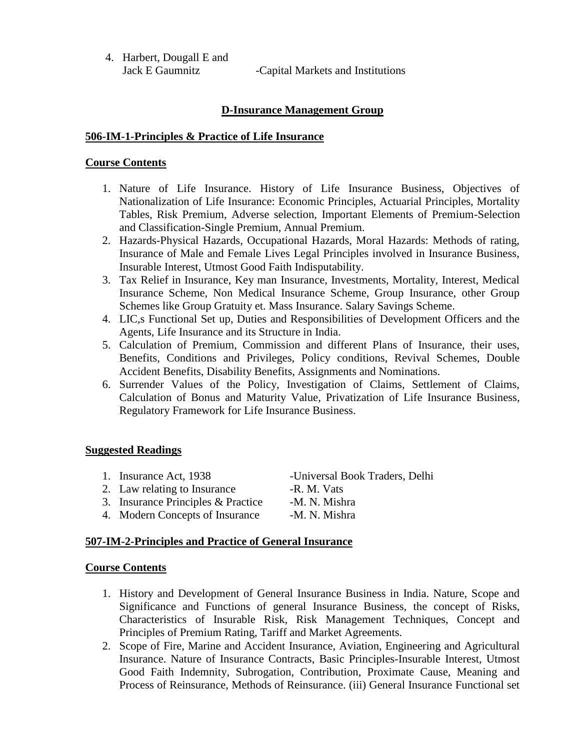4. Harbert, Dougall E and Jack E Gaumnitz -Capital Markets and Institutions

# **D-Insurance Management Group**

#### **506-IM-1-Principles & Practice of Life Insurance**

#### **Course Contents**

- 1. Nature of Life Insurance. History of Life Insurance Business, Objectives of Nationalization of Life Insurance: Economic Principles, Actuarial Principles, Mortality Tables, Risk Premium, Adverse selection, Important Elements of Premium-Selection and Classification-Single Premium, Annual Premium.
- 2. Hazards-Physical Hazards, Occupational Hazards, Moral Hazards: Methods of rating, Insurance of Male and Female Lives Legal Principles involved in Insurance Business, Insurable Interest, Utmost Good Faith Indisputability.
- 3. Tax Relief in Insurance, Key man Insurance, Investments, Mortality, Interest, Medical Insurance Scheme, Non Medical Insurance Scheme, Group Insurance, other Group Schemes like Group Gratuity et. Mass Insurance. Salary Savings Scheme.
- 4. LIC,s Functional Set up, Duties and Responsibilities of Development Officers and the Agents, Life Insurance and its Structure in India.
- 5. Calculation of Premium, Commission and different Plans of Insurance, their uses, Benefits, Conditions and Privileges, Policy conditions, Revival Schemes, Double Accident Benefits, Disability Benefits, Assignments and Nominations.
- 6. Surrender Values of the Policy, Investigation of Claims, Settlement of Claims, Calculation of Bonus and Maturity Value, Privatization of Life Insurance Business, Regulatory Framework for Life Insurance Business.

# **Suggested Readings**

- 1. Insurance Act, 1938 -Universal Book Traders, Delhi
- 2. Law relating to Insurance -R. M. Vats
- 3. Insurance Principles & Practice -M. N. Mishra
- 4. Modern Concepts of Insurance -M. N. Mishra

# **507-IM-2-Principles and Practice of General Insurance**

- 1. History and Development of General Insurance Business in India. Nature, Scope and Significance and Functions of general Insurance Business, the concept of Risks, Characteristics of Insurable Risk, Risk Management Techniques, Concept and Principles of Premium Rating, Tariff and Market Agreements.
- 2. Scope of Fire, Marine and Accident Insurance, Aviation, Engineering and Agricultural Insurance. Nature of Insurance Contracts, Basic Principles-Insurable Interest, Utmost Good Faith Indemnity, Subrogation, Contribution, Proximate Cause, Meaning and Process of Reinsurance, Methods of Reinsurance. (iii) General Insurance Functional set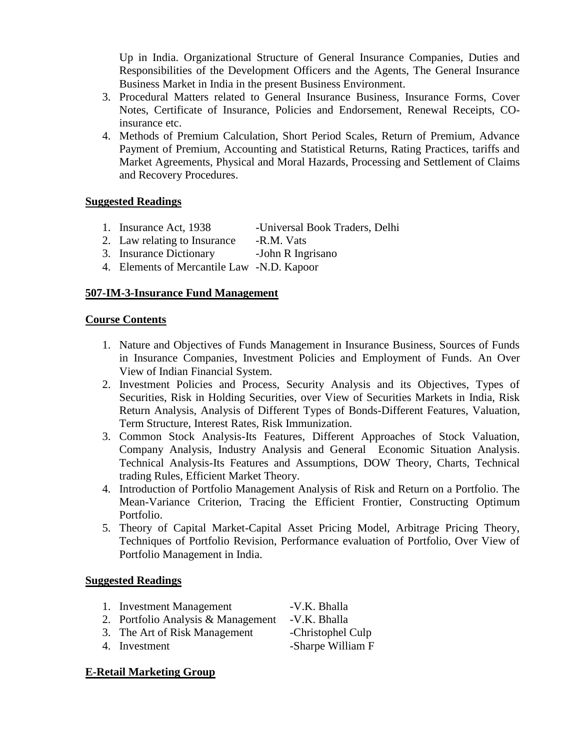Up in India. Organizational Structure of General Insurance Companies, Duties and Responsibilities of the Development Officers and the Agents, The General Insurance Business Market in India in the present Business Environment.

- 3. Procedural Matters related to General Insurance Business, Insurance Forms, Cover Notes, Certificate of Insurance, Policies and Endorsement, Renewal Receipts, COinsurance etc.
- 4. Methods of Premium Calculation, Short Period Scales, Return of Premium, Advance Payment of Premium, Accounting and Statistical Returns, Rating Practices, tariffs and Market Agreements, Physical and Moral Hazards, Processing and Settlement of Claims and Recovery Procedures.

# **Suggested Readings**

- 1. Insurance Act, 1938 -Universal Book Traders, Delhi
- 2. Law relating to Insurance -R.M. Vats
- 3. Insurance Dictionary -John R Ingrisano
- 4. Elements of Mercantile Law -N.D. Kapoor

# **507-IM-3-Insurance Fund Management**

# **Course Contents**

- 1. Nature and Objectives of Funds Management in Insurance Business, Sources of Funds in Insurance Companies, Investment Policies and Employment of Funds. An Over View of Indian Financial System.
- 2. Investment Policies and Process, Security Analysis and its Objectives, Types of Securities, Risk in Holding Securities, over View of Securities Markets in India, Risk Return Analysis, Analysis of Different Types of Bonds-Different Features, Valuation, Term Structure, Interest Rates, Risk Immunization.
- 3. Common Stock Analysis-Its Features, Different Approaches of Stock Valuation, Company Analysis, Industry Analysis and General Economic Situation Analysis. Technical Analysis-Its Features and Assumptions, DOW Theory, Charts, Technical trading Rules, Efficient Market Theory.
- 4. Introduction of Portfolio Management Analysis of Risk and Return on a Portfolio. The Mean-Variance Criterion, Tracing the Efficient Frontier, Constructing Optimum Portfolio.
- 5. Theory of Capital Market-Capital Asset Pricing Model, Arbitrage Pricing Theory, Techniques of Portfolio Revision, Performance evaluation of Portfolio, Over View of Portfolio Management in India.

# **Suggested Readings**

- 1. Investment Management -V.K. Bhalla
- 2. Portfolio Analysis & Management -V.K. Bhalla
- 3. The Art of Risk Management -Christophel Culp
- 4. Investment -Sharpe William F

# **E-Retail Marketing Group**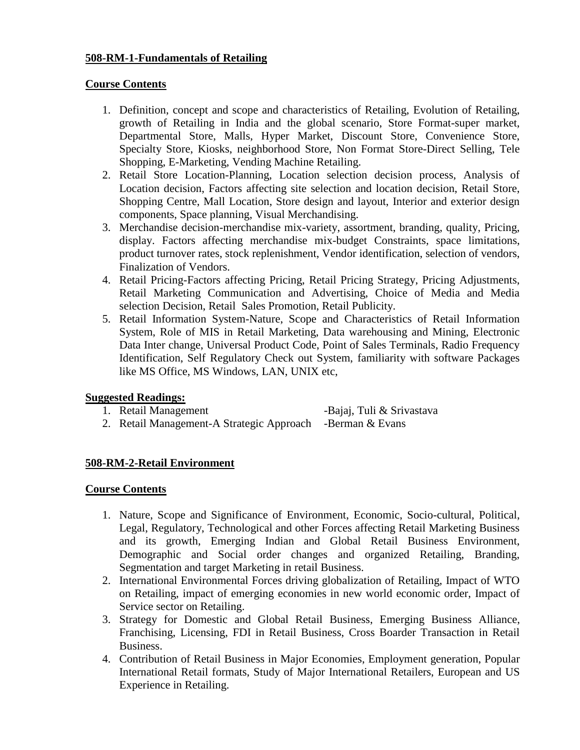# **508-RM-1-Fundamentals of Retailing**

# **Course Contents**

- 1. Definition, concept and scope and characteristics of Retailing, Evolution of Retailing, growth of Retailing in India and the global scenario, Store Format-super market, Departmental Store, Malls, Hyper Market, Discount Store, Convenience Store, Specialty Store, Kiosks, neighborhood Store, Non Format Store-Direct Selling, Tele Shopping, E-Marketing, Vending Machine Retailing.
- 2. Retail Store Location-Planning, Location selection decision process, Analysis of Location decision, Factors affecting site selection and location decision, Retail Store, Shopping Centre, Mall Location, Store design and layout, Interior and exterior design components, Space planning, Visual Merchandising.
- 3. Merchandise decision-merchandise mix-variety, assortment, branding, quality, Pricing, display. Factors affecting merchandise mix-budget Constraints, space limitations, product turnover rates, stock replenishment, Vendor identification, selection of vendors, Finalization of Vendors.
- 4. Retail Pricing-Factors affecting Pricing, Retail Pricing Strategy, Pricing Adjustments, Retail Marketing Communication and Advertising, Choice of Media and Media selection Decision, Retail Sales Promotion, Retail Publicity.
- 5. Retail Information System-Nature, Scope and Characteristics of Retail Information System, Role of MIS in Retail Marketing, Data warehousing and Mining, Electronic Data Inter change, Universal Product Code, Point of Sales Terminals, Radio Frequency Identification, Self Regulatory Check out System, familiarity with software Packages like MS Office, MS Windows, LAN, UNIX etc,

**Suggested Readings:** -Bajaj, Tuli & Srivastava 2. Retail Management-A Strategic Approach -Berman & Evans

# **508-RM-2-Retail Environment**

- 1. Nature, Scope and Significance of Environment, Economic, Socio-cultural, Political, Legal, Regulatory, Technological and other Forces affecting Retail Marketing Business and its growth, Emerging Indian and Global Retail Business Environment, Demographic and Social order changes and organized Retailing, Branding, Segmentation and target Marketing in retail Business.
- 2. International Environmental Forces driving globalization of Retailing, Impact of WTO on Retailing, impact of emerging economies in new world economic order, Impact of Service sector on Retailing.
- 3. Strategy for Domestic and Global Retail Business, Emerging Business Alliance, Franchising, Licensing, FDI in Retail Business, Cross Boarder Transaction in Retail Business.
- 4. Contribution of Retail Business in Major Economies, Employment generation, Popular International Retail formats, Study of Major International Retailers, European and US Experience in Retailing.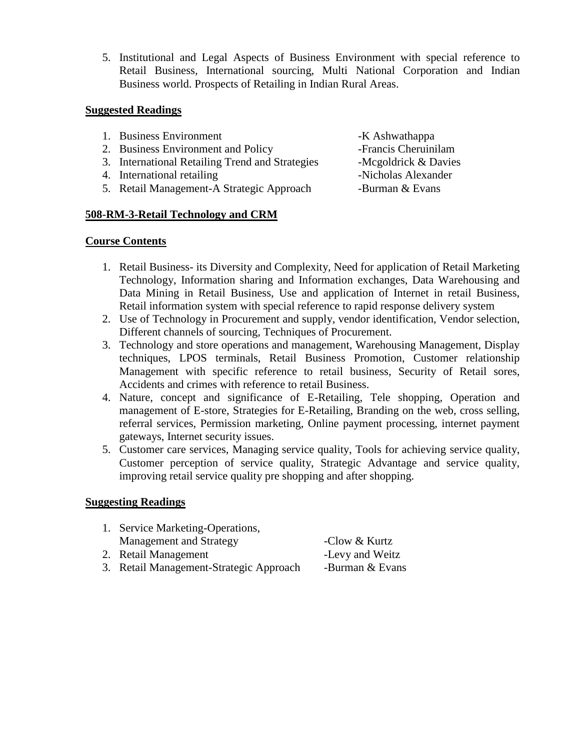5. Institutional and Legal Aspects of Business Environment with special reference to Retail Business, International sourcing, Multi National Corporation and Indian Business world. Prospects of Retailing in Indian Rural Areas.

# **Suggested Readings**

1. Business Environment -K Ashwathappa 2. Business Environment and Policy -Francis Cheruinilam 3. International Retailing Trend and Strategies -Mcgoldrick & Davies 4. International retailing -Nicholas Alexander 5. Retail Management-A Strategic Approach -Burman & Evans

# **508-RM-3-Retail Technology and CRM**

# **Course Contents**

- 1. Retail Business- its Diversity and Complexity, Need for application of Retail Marketing Technology, Information sharing and Information exchanges, Data Warehousing and Data Mining in Retail Business, Use and application of Internet in retail Business, Retail information system with special reference to rapid response delivery system
- 2. Use of Technology in Procurement and supply, vendor identification, Vendor selection, Different channels of sourcing, Techniques of Procurement.
- 3. Technology and store operations and management, Warehousing Management, Display techniques, LPOS terminals, Retail Business Promotion, Customer relationship Management with specific reference to retail business, Security of Retail sores, Accidents and crimes with reference to retail Business.
- 4. Nature, concept and significance of E-Retailing, Tele shopping, Operation and management of E-store, Strategies for E-Retailing, Branding on the web, cross selling, referral services, Permission marketing, Online payment processing, internet payment gateways, Internet security issues.
- 5. Customer care services, Managing service quality, Tools for achieving service quality, Customer perception of service quality, Strategic Advantage and service quality, improving retail service quality pre shopping and after shopping.

# **Suggesting Readings**

| 1. Service Marketing-Operations,        |                 |
|-----------------------------------------|-----------------|
| Management and Strategy                 | -Clow & Kurtz   |
| 2. Retail Management                    | -Levy and Weitz |
| 3. Retail Management-Strategic Approach | -Burman & Evans |

- -
-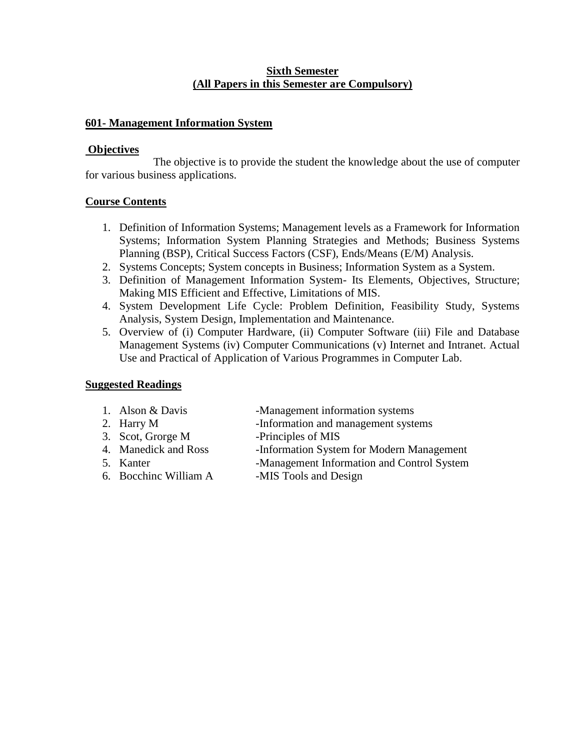# **Sixth Semester (All Papers in this Semester are Compulsory)**

# **601- Management Information System**

# **Objectives**

The objective is to provide the student the knowledge about the use of computer for various business applications.

# **Course Contents**

- 1. Definition of Information Systems; Management levels as a Framework for Information Systems; Information System Planning Strategies and Methods; Business Systems Planning (BSP), Critical Success Factors (CSF), Ends/Means (E/M) Analysis.
- 2. Systems Concepts; System concepts in Business; Information System as a System.
- 3. Definition of Management Information System- Its Elements, Objectives, Structure; Making MIS Efficient and Effective, Limitations of MIS.
- 4. System Development Life Cycle: Problem Definition, Feasibility Study, Systems Analysis, System Design, Implementation and Maintenance.
- 5. Overview of (i) Computer Hardware, (ii) Computer Software (iii) File and Database Management Systems (iv) Computer Communications (v) Internet and Intranet. Actual Use and Practical of Application of Various Programmes in Computer Lab.

# **Suggested Readings**

- 1. Alson & Davis -Management information systems
- 2. Harry M -Information and management systems
- 3. Scot, Grorge M -Principles of MIS
- 4. Manedick and Ross -Information System for Modern Management
- 5. Kanter -Management Information and Control System
- 
- 6. Bocchinc William A -MIS Tools and Design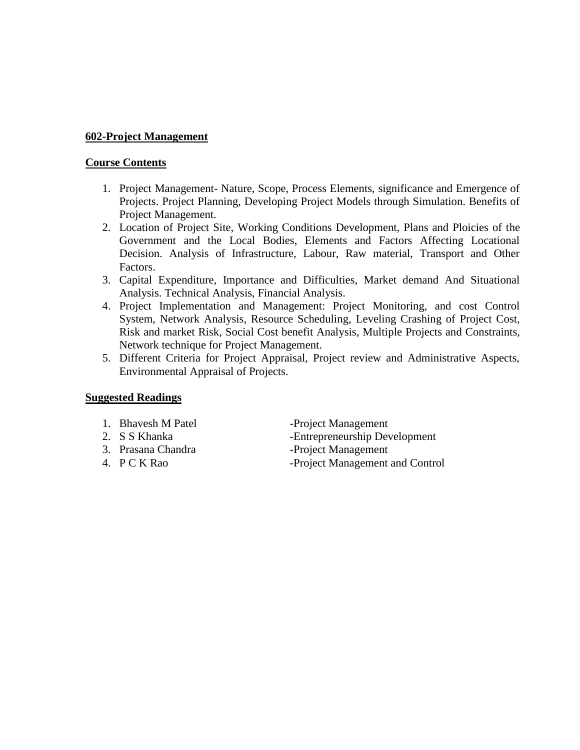# **602-Project Management**

#### **Course Contents**

- 1. Project Management- Nature, Scope, Process Elements, significance and Emergence of Projects. Project Planning, Developing Project Models through Simulation. Benefits of Project Management.
- 2. Location of Project Site, Working Conditions Development, Plans and Ploicies of the Government and the Local Bodies, Elements and Factors Affecting Locational Decision. Analysis of Infrastructure, Labour, Raw material, Transport and Other Factors.
- 3. Capital Expenditure, Importance and Difficulties, Market demand And Situational Analysis. Technical Analysis, Financial Analysis.
- 4. Project Implementation and Management: Project Monitoring, and cost Control System, Network Analysis, Resource Scheduling, Leveling Crashing of Project Cost, Risk and market Risk, Social Cost benefit Analysis, Multiple Projects and Constraints, Network technique for Project Management.
- 5. Different Criteria for Project Appraisal, Project review and Administrative Aspects, Environmental Appraisal of Projects.

# **Suggested Readings**

- 
- 
- 
- 
- 1. Bhavesh M Patel -Project Management 2. S S Khanka - Entrepreneurship Development 3. Prasana Chandra - Project Management 4. P C K Rao -Project Management and Control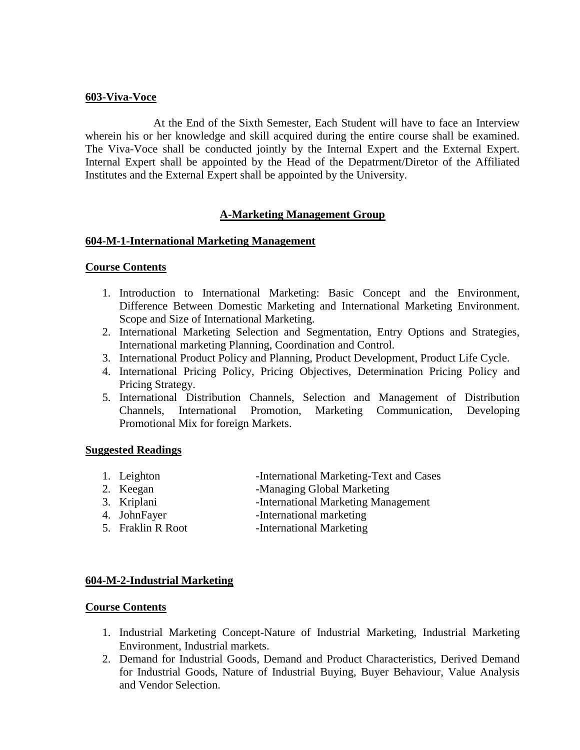#### **603-Viva-Voce**

At the End of the Sixth Semester, Each Student will have to face an Interview wherein his or her knowledge and skill acquired during the entire course shall be examined. The Viva-Voce shall be conducted jointly by the Internal Expert and the External Expert. Internal Expert shall be appointed by the Head of the Depatrment/Diretor of the Affiliated Institutes and the External Expert shall be appointed by the University.

# **A-Marketing Management Group**

# **604-M-1-International Marketing Management**

#### **Course Contents**

- 1. Introduction to International Marketing: Basic Concept and the Environment, Difference Between Domestic Marketing and International Marketing Environment. Scope and Size of International Marketing.
- 2. International Marketing Selection and Segmentation, Entry Options and Strategies, International marketing Planning, Coordination and Control.
- 3. International Product Policy and Planning, Product Development, Product Life Cycle.
- 4. International Pricing Policy, Pricing Objectives, Determination Pricing Policy and Pricing Strategy.
- 5. International Distribution Channels, Selection and Management of Distribution Channels, International Promotion, Marketing Communication, Developing Promotional Mix for foreign Markets.

#### **Suggested Readings**

- 1. Leighton -International Marketing-Text and Cases
- 2. Keegan -Managing Global Marketing
- 3. Kriplani International Marketing Management
- 4. JohnFayer -International marketing
- 5. Fraklin R Root -International Marketing

# **604-M-2-Industrial Marketing**

- 1. Industrial Marketing Concept-Nature of Industrial Marketing, Industrial Marketing Environment, Industrial markets.
- 2. Demand for Industrial Goods, Demand and Product Characteristics, Derived Demand for Industrial Goods, Nature of Industrial Buying, Buyer Behaviour, Value Analysis and Vendor Selection.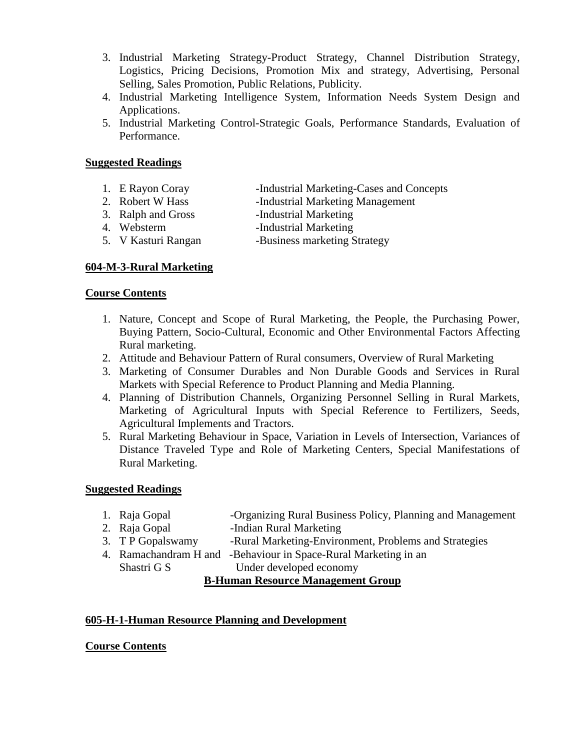- 3. Industrial Marketing Strategy-Product Strategy, Channel Distribution Strategy, Logistics, Pricing Decisions, Promotion Mix and strategy, Advertising, Personal Selling, Sales Promotion, Public Relations, Publicity.
- 4. Industrial Marketing Intelligence System, Information Needs System Design and Applications.
- 5. Industrial Marketing Control-Strategic Goals, Performance Standards, Evaluation of Performance.

- 1. E Rayon Coray -Industrial Marketing-Cases and Concepts
- 2. Robert W Hass -Industrial Marketing Management
- 3. Ralph and Gross -Industrial Marketing
- 
- 4. Websterm Industrial Marketing
- 5. V Kasturi Rangan -Business marketing Strategy

# **604-M-3-Rural Marketing**

# **Course Contents**

- 1. Nature, Concept and Scope of Rural Marketing, the People, the Purchasing Power, Buying Pattern, Socio-Cultural, Economic and Other Environmental Factors Affecting Rural marketing.
- 2. Attitude and Behaviour Pattern of Rural consumers, Overview of Rural Marketing
- 3. Marketing of Consumer Durables and Non Durable Goods and Services in Rural Markets with Special Reference to Product Planning and Media Planning.
- 4. Planning of Distribution Channels, Organizing Personnel Selling in Rural Markets, Marketing of Agricultural Inputs with Special Reference to Fertilizers, Seeds, Agricultural Implements and Tractors.
- 5. Rural Marketing Behaviour in Space, Variation in Levels of Intersection, Variances of Distance Traveled Type and Role of Marketing Centers, Special Manifestations of Rural Marketing.

# **Suggested Readings**

- 1. Raja Gopal -Organizing Rural Business Policy, Planning and Management
- 2. Raja Gopal -Indian Rural Marketing
- 3. T P Gopalswamy -Rural Marketing-Environment, Problems and Strategies
- 4. Ramachandram H and -Behaviour in Space-Rural Marketing in an

Shastri G S Under developed economy

# **B-Human Resource Management Group**

# **605-H-1-Human Resource Planning and Development**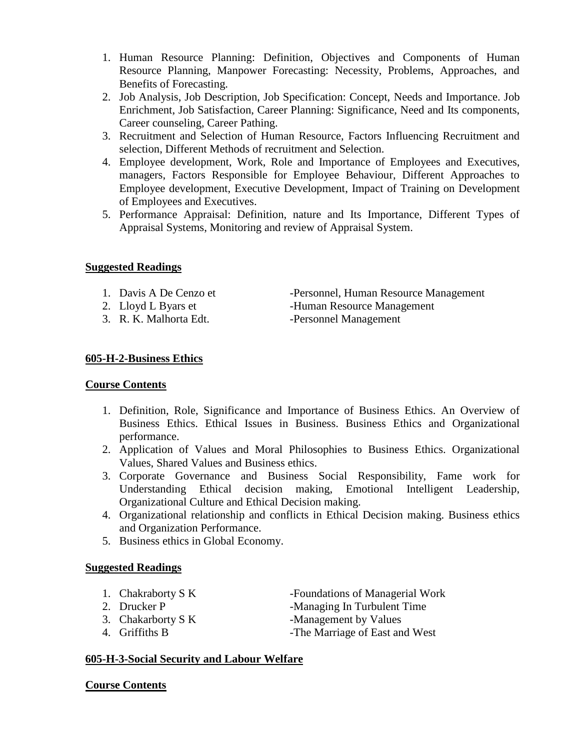- 1. Human Resource Planning: Definition, Objectives and Components of Human Resource Planning, Manpower Forecasting: Necessity, Problems, Approaches, and Benefits of Forecasting.
- 2. Job Analysis, Job Description, Job Specification: Concept, Needs and Importance. Job Enrichment, Job Satisfaction, Career Planning: Significance, Need and Its components, Career counseling, Career Pathing.
- 3. Recruitment and Selection of Human Resource, Factors Influencing Recruitment and selection, Different Methods of recruitment and Selection.
- 4. Employee development, Work, Role and Importance of Employees and Executives, managers, Factors Responsible for Employee Behaviour, Different Approaches to Employee development, Executive Development, Impact of Training on Development of Employees and Executives.
- 5. Performance Appraisal: Definition, nature and Its Importance, Different Types of Appraisal Systems, Monitoring and review of Appraisal System.

- 
- 
- 3. R. K. Malhorta Edt. Personnel Management

1. Davis A De Cenzo et -Personnel, Human Resource Management 2. Lloyd L Byars et -Human Resource Management

# **605-H-2-Business Ethics**

# **Course Contents**

- 1. Definition, Role, Significance and Importance of Business Ethics. An Overview of Business Ethics. Ethical Issues in Business. Business Ethics and Organizational performance.
- 2. Application of Values and Moral Philosophies to Business Ethics. Organizational Values, Shared Values and Business ethics.
- 3. Corporate Governance and Business Social Responsibility, Fame work for Understanding Ethical decision making, Emotional Intelligent Leadership, Organizational Culture and Ethical Decision making.
- 4. Organizational relationship and conflicts in Ethical Decision making. Business ethics and Organization Performance.
- 5. Business ethics in Global Economy.

# **Suggested Readings**

- 1. Chakraborty S K -Foundations of Managerial Work
- 
- 
- 

2. Drucker P -Managing In Turbulent Time

- 3. Chakarborty S K -Management by Values
- 4. Griffiths B -The Marriage of East and West

# **605-H-3-Social Security and Labour Welfare**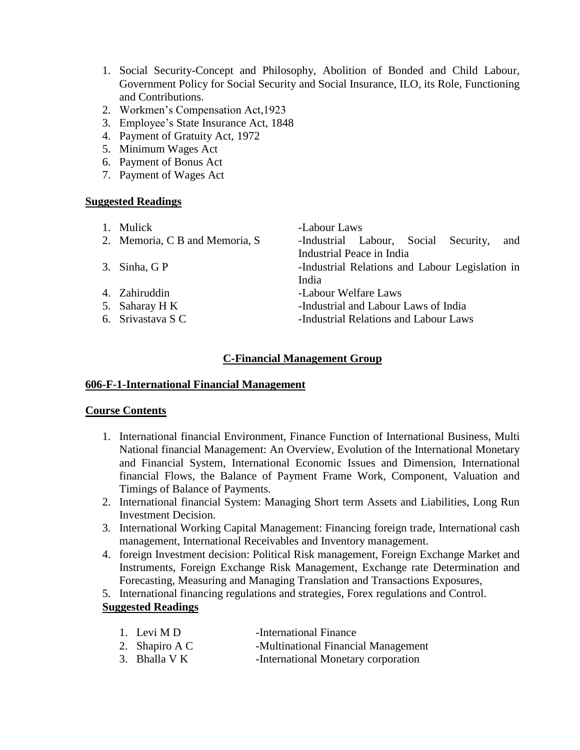- 1. Social Security-Concept and Philosophy, Abolition of Bonded and Child Labour, Government Policy for Social Security and Social Insurance, ILO, its Role, Functioning and Contributions.
- 2. Workmen's Compensation Act,1923
- 3. Employee's State Insurance Act, 1848
- 4. Payment of Gratuity Act, 1972
- 5. Minimum Wages Act
- 6. Payment of Bonus Act
- 7. Payment of Wages Act

| 1. Mulick                      | -Labour Laws                                    |
|--------------------------------|-------------------------------------------------|
| 2. Memoria, C B and Memoria, S | -Industrial Labour, Social Security,<br>and     |
|                                | Industrial Peace in India                       |
| 3. Sinha, GP                   | -Industrial Relations and Labour Legislation in |
|                                | India                                           |
| 4. Zahiruddin                  | -Labour Welfare Laws                            |
| 5. Saharay H K                 | -Industrial and Labour Laws of India            |
| 6. Srivastava S C              | -Industrial Relations and Labour Laws           |
|                                |                                                 |

# **C-Financial Management Group**

# **606-F-1-International Financial Management**

# **Course Contents**

- 1. International financial Environment, Finance Function of International Business, Multi National financial Management: An Overview, Evolution of the International Monetary and Financial System, International Economic Issues and Dimension, International financial Flows, the Balance of Payment Frame Work, Component, Valuation and Timings of Balance of Payments.
- 2. International financial System: Managing Short term Assets and Liabilities, Long Run Investment Decision.
- 3. International Working Capital Management: Financing foreign trade, International cash management, International Receivables and Inventory management.
- 4. foreign Investment decision: Political Risk management, Foreign Exchange Market and Instruments, Foreign Exchange Risk Management, Exchange rate Determination and Forecasting, Measuring and Managing Translation and Transactions Exposures,
- 5. International financing regulations and strategies, Forex regulations and Control.

# **Suggested Readings**

| 1. Levi M D    | -International Finance              |
|----------------|-------------------------------------|
| 2. Shapiro A C | -Multinational Financial Management |
|                |                                     |

3. Bhalla V K -International Monetary corporation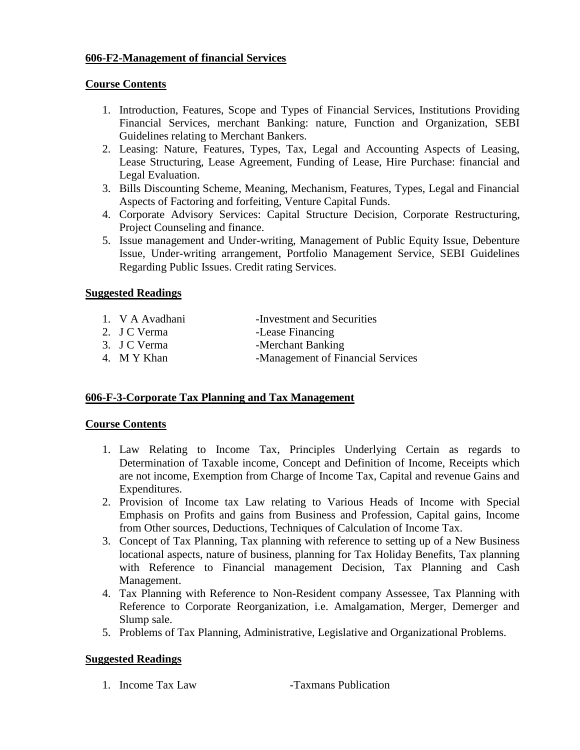# **606-F2-Management of financial Services**

# **Course Contents**

- 1. Introduction, Features, Scope and Types of Financial Services, Institutions Providing Financial Services, merchant Banking: nature, Function and Organization, SEBI Guidelines relating to Merchant Bankers.
- 2. Leasing: Nature, Features, Types, Tax, Legal and Accounting Aspects of Leasing, Lease Structuring, Lease Agreement, Funding of Lease, Hire Purchase: financial and Legal Evaluation.
- 3. Bills Discounting Scheme, Meaning, Mechanism, Features, Types, Legal and Financial Aspects of Factoring and forfeiting, Venture Capital Funds.
- 4. Corporate Advisory Services: Capital Structure Decision, Corporate Restructuring, Project Counseling and finance.
- 5. Issue management and Under-writing, Management of Public Equity Issue, Debenture Issue, Under-writing arrangement, Portfolio Management Service, SEBI Guidelines Regarding Public Issues. Credit rating Services.

# **Suggested Readings**

- 1. V A Avadhani -Investment and Securities
- 2. J C Verma -Lease Financing
- 3. J C Verma -Merchant Banking
- 4. M Y Khan -Management of Financial Services

# **606-F-3-Corporate Tax Planning and Tax Management**

# **Course Contents**

- 1. Law Relating to Income Tax, Principles Underlying Certain as regards to Determination of Taxable income, Concept and Definition of Income, Receipts which are not income, Exemption from Charge of Income Tax, Capital and revenue Gains and Expenditures.
- 2. Provision of Income tax Law relating to Various Heads of Income with Special Emphasis on Profits and gains from Business and Profession, Capital gains, Income from Other sources, Deductions, Techniques of Calculation of Income Tax.
- 3. Concept of Tax Planning, Tax planning with reference to setting up of a New Business locational aspects, nature of business, planning for Tax Holiday Benefits, Tax planning with Reference to Financial management Decision, Tax Planning and Cash Management.
- 4. Tax Planning with Reference to Non-Resident company Assessee, Tax Planning with Reference to Corporate Reorganization, i.e. Amalgamation, Merger, Demerger and Slump sale.
- 5. Problems of Tax Planning, Administrative, Legislative and Organizational Problems.

# **Suggested Readings**

1. Income Tax Law -Taxmans Publication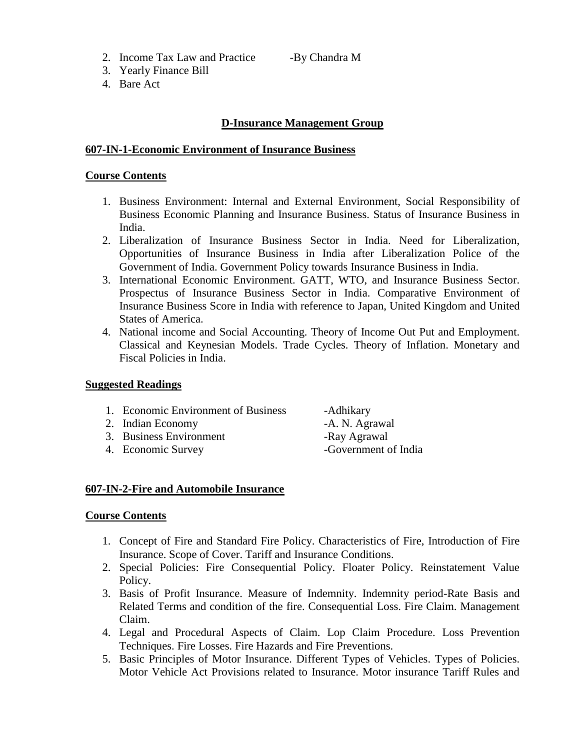2. Income Tax Law and Practice -By Chandra M

- 3. Yearly Finance Bill
- 4. Bare Act

# **D-Insurance Management Group**

#### **607-IN-1-Economic Environment of Insurance Business**

#### **Course Contents**

- 1. Business Environment: Internal and External Environment, Social Responsibility of Business Economic Planning and Insurance Business. Status of Insurance Business in India.
- 2. Liberalization of Insurance Business Sector in India. Need for Liberalization, Opportunities of Insurance Business in India after Liberalization Police of the Government of India. Government Policy towards Insurance Business in India.
- 3. International Economic Environment. GATT, WTO, and Insurance Business Sector. Prospectus of Insurance Business Sector in India. Comparative Environment of Insurance Business Score in India with reference to Japan, United Kingdom and United States of America.
- 4. National income and Social Accounting. Theory of Income Out Put and Employment. Classical and Keynesian Models. Trade Cycles. Theory of Inflation. Monetary and Fiscal Policies in India.

# **Suggested Readings**

- 1. Economic Environment of Business -Adhikary
- 2. Indian Economy **-A. N. Agrawal**
- 3. Business Environment -Ray Agrawal
- 

4. Economic Survey -Government of India

# **607-IN-2-Fire and Automobile Insurance**

- 1. Concept of Fire and Standard Fire Policy. Characteristics of Fire, Introduction of Fire Insurance. Scope of Cover. Tariff and Insurance Conditions.
- 2. Special Policies: Fire Consequential Policy. Floater Policy. Reinstatement Value Policy.
- 3. Basis of Profit Insurance. Measure of Indemnity. Indemnity period-Rate Basis and Related Terms and condition of the fire. Consequential Loss. Fire Claim. Management Claim.
- 4. Legal and Procedural Aspects of Claim. Lop Claim Procedure. Loss Prevention Techniques. Fire Losses. Fire Hazards and Fire Preventions.
- 5. Basic Principles of Motor Insurance. Different Types of Vehicles. Types of Policies. Motor Vehicle Act Provisions related to Insurance. Motor insurance Tariff Rules and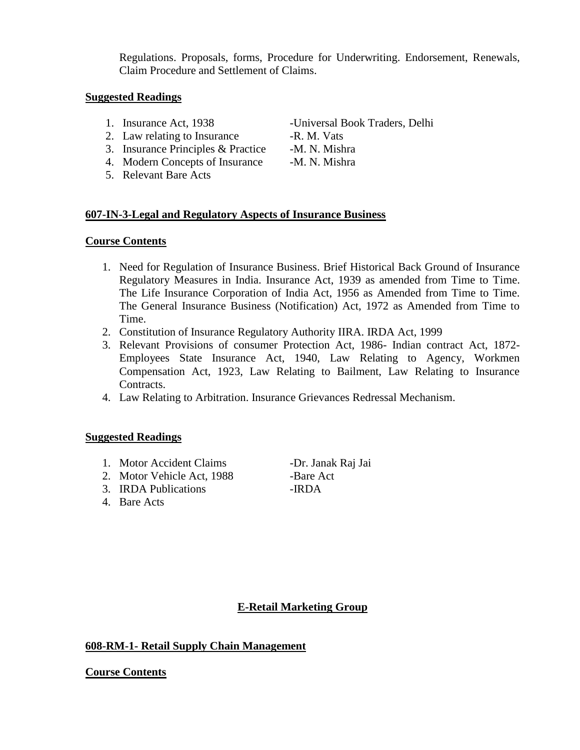Regulations. Proposals, forms, Procedure for Underwriting. Endorsement, Renewals, Claim Procedure and Settlement of Claims.

# **Suggested Readings**

- 
- 2. Law relating to Insurance -R. M. Vats
- 3. Insurance Principles & Practice -M. N. Mishra
- 4. Modern Concepts of Insurance -M. N. Mishra
- 5. Relevant Bare Acts

1. Insurance Act, 1938 -Universal Book Traders, Delhi

# **607-IN-3-Legal and Regulatory Aspects of Insurance Business**

#### **Course Contents**

- 1. Need for Regulation of Insurance Business. Brief Historical Back Ground of Insurance Regulatory Measures in India. Insurance Act, 1939 as amended from Time to Time. The Life Insurance Corporation of India Act, 1956 as Amended from Time to Time. The General Insurance Business (Notification) Act, 1972 as Amended from Time to Time.
- 2. Constitution of Insurance Regulatory Authority IIRA. IRDA Act, 1999
- 3. Relevant Provisions of consumer Protection Act, 1986- Indian contract Act, 1872- Employees State Insurance Act, 1940, Law Relating to Agency, Workmen Compensation Act, 1923, Law Relating to Bailment, Law Relating to Insurance Contracts.
- 4. Law Relating to Arbitration. Insurance Grievances Redressal Mechanism.

# **Suggested Readings**

- 1. Motor Accident Claims -Dr. Janak Raj Jai
- 2. Motor Vehicle Act, 1988 -Bare Act
- 3. IRDA Publications -IRDA
- 4. Bare Acts

# **E-Retail Marketing Group**

# **608-RM-1- Retail Supply Chain Management**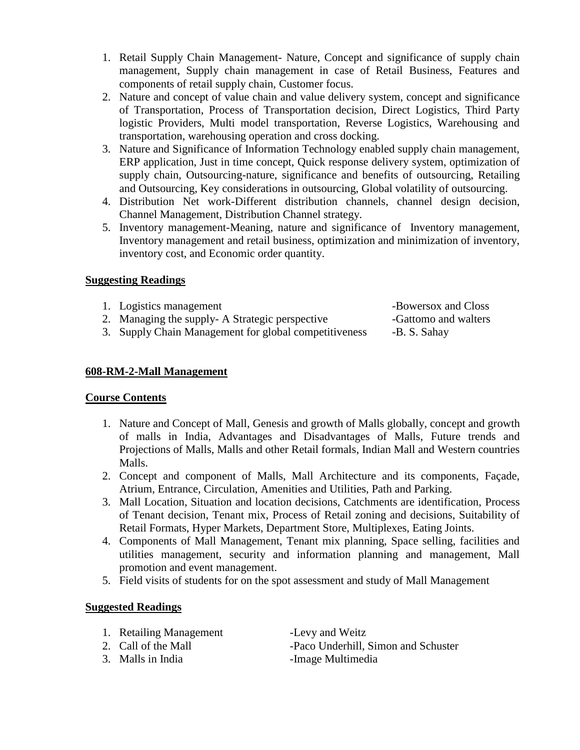- 1. Retail Supply Chain Management- Nature, Concept and significance of supply chain management, Supply chain management in case of Retail Business, Features and components of retail supply chain, Customer focus.
- 2. Nature and concept of value chain and value delivery system, concept and significance of Transportation, Process of Transportation decision, Direct Logistics, Third Party logistic Providers, Multi model transportation, Reverse Logistics, Warehousing and transportation, warehousing operation and cross docking.
- 3. Nature and Significance of Information Technology enabled supply chain management, ERP application, Just in time concept, Quick response delivery system, optimization of supply chain, Outsourcing-nature, significance and benefits of outsourcing, Retailing and Outsourcing, Key considerations in outsourcing, Global volatility of outsourcing.
- 4. Distribution Net work-Different distribution channels, channel design decision, Channel Management, Distribution Channel strategy.
- 5. Inventory management-Meaning, nature and significance of Inventory management, Inventory management and retail business, optimization and minimization of inventory, inventory cost, and Economic order quantity.

# **Suggesting Readings**

- 1. Logistics management  $\overline{\phantom{a}}$  -Bowersox and Closs
- 2. Managing the supply- A Strategic perspective -Gattomo and walters
- 3. Supply Chain Management for global competitiveness -B. S. Sahay

# **608-RM-2-Mall Management**

# **Course Contents**

- 1. Nature and Concept of Mall, Genesis and growth of Malls globally, concept and growth of malls in India, Advantages and Disadvantages of Malls, Future trends and Projections of Malls, Malls and other Retail formals, Indian Mall and Western countries Malls.
- 2. Concept and component of Malls, Mall Architecture and its components, Façade, Atrium, Entrance, Circulation, Amenities and Utilities, Path and Parking.
- 3. Mall Location, Situation and location decisions, Catchments are identification, Process of Tenant decision, Tenant mix, Process of Retail zoning and decisions, Suitability of Retail Formats, Hyper Markets, Department Store, Multiplexes, Eating Joints.
- 4. Components of Mall Management, Tenant mix planning, Space selling, facilities and utilities management, security and information planning and management, Mall promotion and event management.
- 5. Field visits of students for on the spot assessment and study of Mall Management

# **Suggested Readings**

- 1. Retailing Management -Levy and Weitz
- 
- 

2. Call of the Mall -Paco Underhill, Simon and Schuster 3. Malls in India -Image Multimedia